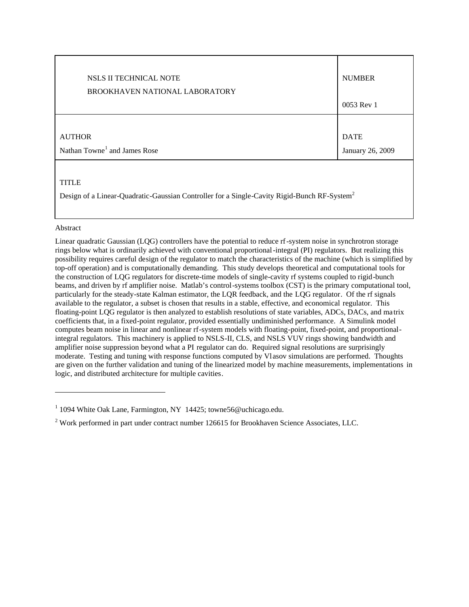| NSLS II TECHNICAL NOTE                                                                                                  | <b>NUMBER</b>    |
|-------------------------------------------------------------------------------------------------------------------------|------------------|
| BROOKHAVEN NATIONAL LABORATORY                                                                                          | 0053 Rev 1       |
| <b>AUTHOR</b>                                                                                                           | <b>DATE</b>      |
| Nathan Towne <sup>1</sup> and James Rose                                                                                | January 26, 2009 |
| <b>TITLE</b><br>Design of a Linear-Quadratic-Gaussian Controller for a Single-Cavity Rigid-Bunch RF-System <sup>2</sup> |                  |

#### Abstract

-

Linear quadratic Gaussian (LQG) controllers have the potential to reduce rf-system noise in synchrotron storage rings below what is ordinarily achieved with conventional proportional-integral (PI) regulators. But realizing this possibility requires careful design of the regulator to match the characteristics of the machine (which is simplified by top-off operation) and is computationally demanding. This study develops theoretical and computational tools for the construction of LQG regulators for discrete-time models of single-cavity rf systems coupled to rigid-bunch beams, and driven by rf amplifier noise. Matlab's control-systems toolbox (CST) is the primary computational tool, particularly for the steady-state Kalman estimator, the LQR feedback, and the LQG regulator. Of the rf signals available to the regulator, a subset is chosen that results in a stable, effective, and economical regulator. This floating-point LQG regulator is then analyzed to establish resolutions of state variables, ADCs, DACs, and matrix coefficients that, in a fixed-point regulator, provided essentially undiminished performance. A Simulink model computes beam noise in linear and nonlinear rf-system models with floating-point, fixed-point, and proportionalintegral regulators. This machinery is applied to NSLS-II, CLS, and NSLS VUV rings showing bandwidth and amplifier noise suppression beyond what a PI regulator can do. Required signal resolutions are surprisingly moderate. Testing and tuning with response functions computed by Vlasov simulations are performed. Thoughts are given on the further validation and tuning of the linearized model by machine measurements, implementations in logic, and distributed architecture for multiple cavities.

<sup>&</sup>lt;sup>1</sup> 1094 White Oak Lane, Farmington, NY 14425; towne56@uchicago.edu.

 $2$  Work performed in part under contract number 126615 for Brookhaven Science Associates, LLC.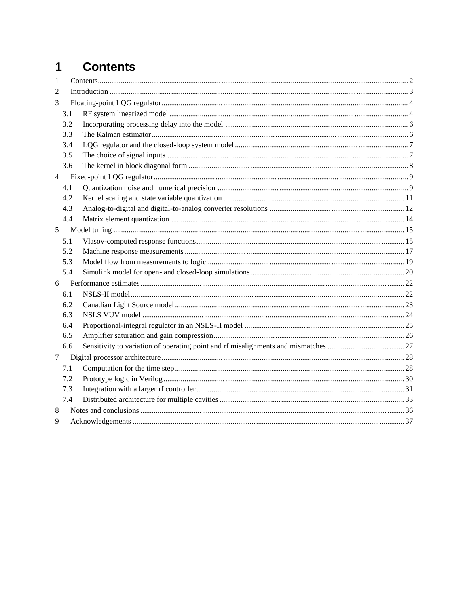# 1 Contents

| 1              |     |  |  |  |  |
|----------------|-----|--|--|--|--|
| $\overline{2}$ |     |  |  |  |  |
| 3              |     |  |  |  |  |
|                | 3.1 |  |  |  |  |
|                | 3.2 |  |  |  |  |
|                | 3.3 |  |  |  |  |
|                | 3.4 |  |  |  |  |
|                | 3.5 |  |  |  |  |
|                | 3.6 |  |  |  |  |
| $\overline{4}$ |     |  |  |  |  |
|                | 4.1 |  |  |  |  |
|                | 4.2 |  |  |  |  |
|                | 4.3 |  |  |  |  |
|                | 4.4 |  |  |  |  |
| 5              |     |  |  |  |  |
|                | 5.1 |  |  |  |  |
|                | 5.2 |  |  |  |  |
|                | 5.3 |  |  |  |  |
|                | 5.4 |  |  |  |  |
| 6              |     |  |  |  |  |
|                | 6.1 |  |  |  |  |
|                | 6.2 |  |  |  |  |
|                | 6.3 |  |  |  |  |
|                | 6.4 |  |  |  |  |
|                | 6.5 |  |  |  |  |
|                | 6.6 |  |  |  |  |
| $\tau$         |     |  |  |  |  |
|                | 7.1 |  |  |  |  |
|                | 7.2 |  |  |  |  |
|                | 7.3 |  |  |  |  |
|                | 7.4 |  |  |  |  |
| 8              |     |  |  |  |  |
| 9              |     |  |  |  |  |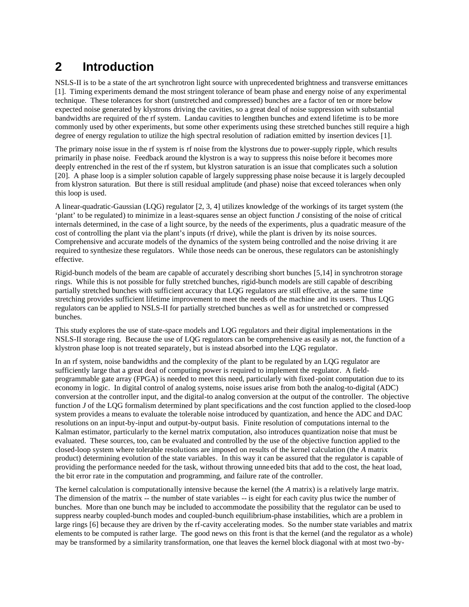# **2 Introduction**

NSLS-II is to be a state of the art synchrotron light source with unprecedented brightness and transverse emittances [1]. Timing experiments demand the most stringent tolerance of beam phase and energy noise of any experimental technique. These tolerances for short (unstretched and compressed) bunches are a factor of ten or more below expected noise generated by klystrons driving the cavities, so a great deal of noise suppression with substantial bandwidths are required of the rf system. Landau cavities to lengthen bunches and extend lifetime is to be more commonly used by other experiments, but some other experiments using these stretched bunches still require a high degree of energy regulation to utilize the high spectral resolution of radiation emitted by insertion devices [1].

The primary noise issue in the rf system is rf noise from the klystrons due to power-supply ripple, which results primarily in phase noise. Feedback around the klystron is a way to suppress this noise before it becomes more deeply entrenched in the rest of the rf system, but klystron saturation is an issue that complicates such a solution [20]. A phase loop is a simpler solution capable of largely suppressing phase noise because it is largely decoupled from klystron saturation. But there is still residual amplitude (and phase) noise that exceed tolerances when only this loop is used.

A linear-quadratic-Gaussian (LQG) regulator [2, 3, 4] utilizes knowledge of the workings of its target system (the 'plant' to be regulated) to minimize in a least-squares sense an object function *J* consisting of the noise of critical internals determined, in the case of a light source, by the needs of the experiments, plus a quadratic measure of the cost of controlling the plant via the plant's inputs (rf drive), while the plant is driven by its noise sources. Comprehensive and accurate models of the dynamics of the system being controlled and the noise driving it are required to synthesize these regulators. While those needs can be onerous, these regulators can be astonishingly effective.

Rigid-bunch models of the beam are capable of accurately describing short bunches [5,14] in synchrotron storage rings. While this is not possible for fully stretched bunches, rigid-bunch models are still capable of describing partially stretched bunches with sufficient accuracy that LQG regulators are still effective, at the same time stretching provides sufficient lifetime improvement to meet the needs of the machine and its users. Thus LQG regulators can be applied to NSLS-II for partially stretched bunches as well as for unstretched or compressed bunches.

This study explores the use of state-space models and LQG regulators and their digital implementations in the NSLS-II storage ring. Because the use of LQG regulators can be comprehensive as easily as not, the function of a klystron phase loop is not treated separately, but is instead absorbed into the LQG regulator.

In an rf system, noise bandwidths and the complexity of the plant to be regulated by an LQG regulator are sufficiently large that a great deal of computing power is required to implement the regulator. A fieldprogrammable gate array (FPGA) is needed to meet this need, particularly with fixed -point computation due to its economy in logic. In digital control of analog systems, noise issues arise from both the analog-to-digital (ADC) conversion at the controller input, and the digital-to analog conversion at the output of the controller. The objective function *J* of the LQG formalism determined by plant specifications and the cost function applied to the closed-loop system provides a means to evaluate the tolerable noise introduced by quantization, and hence the ADC and DAC resolutions on an input-by-input and output-by-output basis. Finite resolution of computations internal to the Kalman estimator, particularly to the kernel matrix computation, also introduces quantization noise that must be evaluated. These sources, too, can be evaluated and controlled by the use of the objective function applied to the closed-loop system where tolerable resolutions are imposed on results of the kernel calculation (the *A* matrix product) determining evolution of the state variables. In this way it can be assured that the regulator is capable of providing the performance needed for the task, without throwing unneeded bits that add to the cost, the heat load, the bit error rate in the computation and programming, and failure rate of the controller.

The kernel calculation is computationally intensive because the kernel (the *A* matrix) is a relatively large matrix. The dimension of the matrix -- the number of state variables -- is eight for each cavity plus twice the number of bunches. More than one bunch may be included to accommodate the possibility that the regulator can be used to suppress nearby coupled-bunch modes and coupled-bunch equilibrium-phase instabilities, which are a problem in large rings [6] because they are driven by the rf-cavity accelerating modes. So the number state variables and matrix elements to be computed is rather large. The good news on this front is that the kernel (and the regulator as a whole) may be transformed by a similarity transformation, one that leaves the kernel block diagonal with at most two -by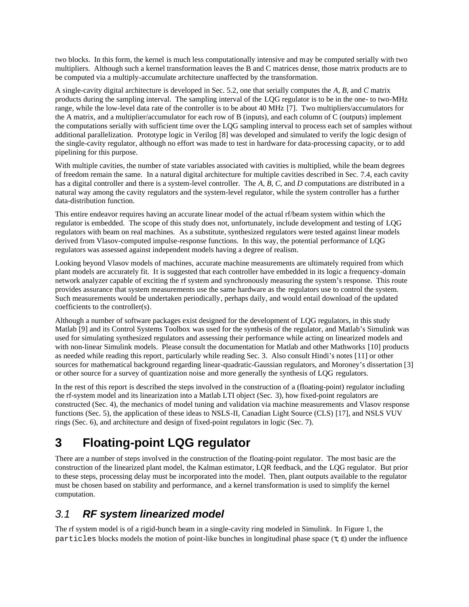two blocks. In this form, the kernel is much less computationally intensive and may be computed serially with two multipliers. Although such a kernel transformation leaves the B and C matrices dense, those matrix products are to be computed via a multiply-accumulate architecture unaffected by the transformation.

A single-cavity digital architecture is developed in Sec. 5.2, one that serially computes the *A*, *B*, and *C* matrix products during the sampling interval. The sampling interval of the LQG regulator is to be in the one- to two-MHz range, while the low-level data rate of the controller is to be about 40 MHz [7]. Two multipliers/accumulators for the A matrix, and a multiplier/accumulator for each row of B (inputs), and each column of C (outputs) implement the computations serially with sufficient time over the LQG sampling interval to process each set of samples without additional parallelization. Prototype logic in Verilog [8] was developed and simulated to verify the logic design of the single-cavity regulator, although no effort was made to test in hardware for data-processing capacity, or to add pipelining for this purpose.

With multiple cavities, the number of state variables associated with cavities is multiplied, while the beam degrees of freedom remain the same. In a natural digital architecture for multiple cavities described in Sec. 7.4, each cavity has a digital controller and there is a system-level controller. The *A*, *B*, *C*, and *D* computations are distributed in a natural way among the cavity regulators and the system-level regulator, while the system controller has a further data-distribution function.

This entire endeavor requires having an accurate linear model of the actual rf/beam system within which the regulator is embedded. The scope of this study does not, unfortunately, include development and testing of LQG regulators with beam on real machines. As a substitute, synthesized regulators were tested against linear models derived from Vlasov-computed impulse-response functions. In this way, the potential performance of LQG regulators was assessed against independent models having a degree of realism.

Looking beyond Vlasov models of machines, accurate machine measurements are ultimately required from which plant models are accurately fit. It is suggested that each controller have embedded in its logic a frequency-domain network analyzer capable of exciting the rf system and synchronously measuring the system's response. This route provides assurance that system measurements use the same hardware as the regulators use to control the system. Such measurements would be undertaken periodically, perhaps daily, and would entail download of the updated coefficients to the controller(s).

Although a number of software packages exist designed for the development of LQG regulators, in this study Matlab [9] and its Control Systems Toolbox was used for the synthesis of the regulator, and Matlab's Simulink was used for simulating synthesized regulators and assessing their performance while acting on linearized models and with non-linear Simulink models. Please consult the documentation for Matlab and other Mathworks [10] products as needed while reading this report, particularly while reading Sec. 3. Also consult Hindi's notes [11] or other sources for mathematical background regarding linear-quadratic-Gaussian regulators, and Moroney's dissertation [3] or other source for a survey of quantization noise and more generally the synthesis of LQG regulators.

In the rest of this report is described the steps involved in the construction of a (floating-point) regulator including the rf-system model and its linearization into a Matlab LTI object (Sec. 3), how fixed-point regulators are constructed (Sec. 4), the mechanics of model tuning and validation via machine measurements and Vlasov response functions (Sec. 5), the application of these ideas to NSLS-II, Canadian Light Source (CLS) [17], and NSLS VUV rings (Sec. 6), and architecture and design of fixed-point regulators in logic (Sec. 7).

# **3 Floating-point LQG regulator**

There are a number of steps involved in the construction of the floating-point regulator. The most basic are the construction of the linearized plant model, the Kalman estimator, LQR feedback, and the LQG regulator. But prior to these steps, processing delay must be incorporated into the model. Then, plant outputs available to the regulator must be chosen based on stability and performance, and a kernel transformation is used to simplify the kernel computation.

# 3.1 **RF system linearized model**

The rf system model is of a rigid-bunch beam in a single-cavity ring modeled in Simulink. In Figure 1, the particles blocks models the motion of point-like bunches in longitudinal phase space  $(\tau, \varepsilon)$  under the influence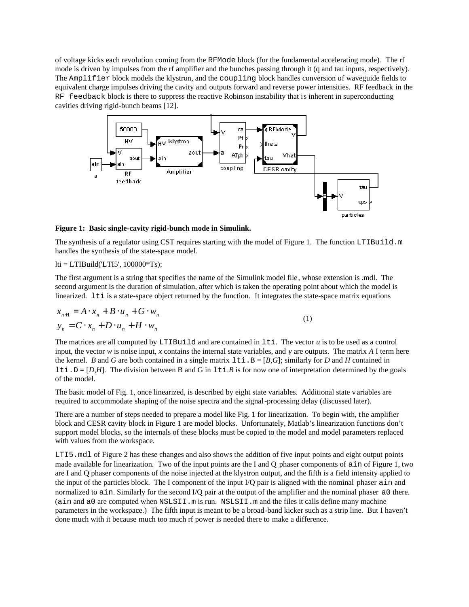of voltage kicks each revolution coming from the RFMode block (for the fundamental accelerating mode). The rf mode is driven by impulses from the rf amplifier and the bunches passing through it (q and tau inputs, respectively). The Amplifier block models the klystron, and the coupling block handles conversion of waveguide fields to equivalent charge impulses driving the cavity and outputs forward and reverse power intensities. RF feedback in the RF feedback block is there to suppress the reactive Robinson instability that is inherent in superconducting cavities driving rigid-bunch beams [12].



**Figure 1: Basic single-cavity rigid-bunch mode in Simulink.**

The synthesis of a regulator using CST requires starting with the model of Figure 1. The function LTIBuild.m handles the synthesis of the state-space model.

 $lti = LTIBuild(TTI5', 100000*Ts);$ 

The first argument is a string that specifies the name of the Simulink model file, whose extension is .mdl. The second argument is the duration of simulation, after which is taken the operating point about which the model is linearized. 1ti is a state-space object returned by the function. It integrates the state-space matrix equations

$$
x_{n+1} = A \cdot x_n + B \cdot u_n + G \cdot w_n
$$
  
\n
$$
y_n = C \cdot x_n + D \cdot u_n + H \cdot w_n
$$
 (1)

The matrices are all computed by LTIBuild and are contained in lti. The vector *u* is to be used as a control input, the vector *w* is noise input, *x* contains the internal state variables, and *y* are outputs. The matrix *A* I term here the kernel. *B* and *G* are both contained in a single matrix  $1 \text{ t}$  i.  $B = [B,G]$ ; similarly for *D* and *H* contained in lti.D =  $[D,H]$ . The division between B and G in lti.B is for now one of interpretation determined by the goals of the model.

The basic model of Fig. 1, once linearized, is described by eight state variables. Additional state v ariables are required to accommodate shaping of the noise spectra and the signal-processing delay (discussed later).

There are a number of steps needed to prepare a model like Fig. 1 for linearization. To begin with, the amplifier block and CESR cavity block in Figure 1 are model blocks. Unfortunately, Matlab's linearization functions don't support model blocks, so the internals of these blocks must be copied to the model and model parameters replaced with values from the workspace.

LTI5.mdl of Figure 2 has these changes and also shows the addition of five input points and eight output points made available for linearization. Two of the input points are the I and Q phaser components of ain of Figure 1, two are I and Q phaser components of the noise injected at the klystron output, and the fifth is a field intensity applied to the input of the particles block. The I component of the input I/Q pair is aligned with the nominal phaser ain and normalized to ain. Similarly for the second I/Q pair at the output of the amplifier and the nominal phaser a0 there. (ain and  $a0$  are computed when  $NSLSII$ .m is run.  $NSLSII$ .m and the files it calls define many machine parameters in the workspace.) The fifth input is meant to be a broad-band kicker such as a strip line. But I haven't done much with it because much too much rf power is needed there to make a difference.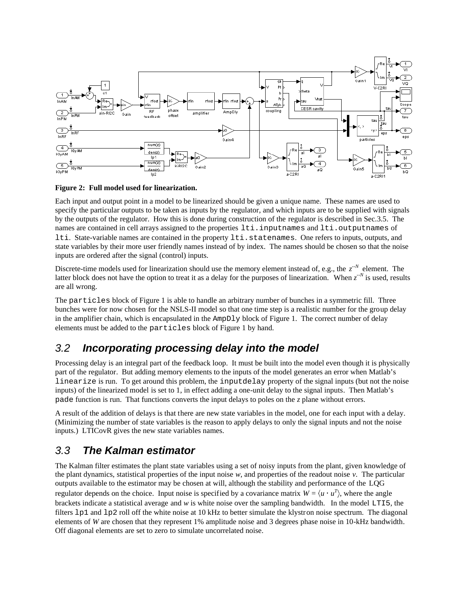

#### **Figure 2: Full model used for linearization.**

Each input and output point in a model to be linearized should be given a unique name. These names are used to specify the particular outputs to be taken as inputs by the regulator, and which inputs are to be supplied with signals by the outputs of the regulator. How this is done during construction of the regulator is described in Sec.3.5. The names are contained in cell arrays assigned to the properties lti.inputnames and lti.outputnames of lti. State-variable names are contained in the property lti.statenames. One refers to inputs, outputs, and state variables by their more user friendly names instead of by index. The names should be chosen so that the noise inputs are ordered after the signal (control) inputs.

Discrete-time models used for linearization should use the memory element instead of, e.g., the  $z^{-N}$  element. The latter block does not have the option to treat it as a delay for the purposes of linearization. When  $z^{-N}$  is used, results are all wrong.

The particles block of Figure 1 is able to handle an arbitrary number of bunches in a symmetric fill. Three bunches were for now chosen for the NSLS-II model so that one time step is a realistic number for the group delay in the amplifier chain, which is encapsulated in the AmpDly block of Figure 1. The correct number of delay elements must be added to the particles block of Figure 1 by hand.

### 3.2 **Incorporating processing delay into the model**

Processing delay is an integral part of the feedback loop. It must be built into the model even though it is physically part of the regulator. But adding memory elements to the inputs of the model generates an error when Matlab's linearize is run. To get around this problem, the inputdelay property of the signal inputs (but not the noise inputs) of the linearized model is set to 1, in effect adding a one-unit delay to the signal inputs. Then Matlab's pade function is run. That functions converts the input delays to poles on the *z* plane without errors.

A result of the addition of delays is that there are new state variables in the model, one for each input with a delay. (Minimizing the number of state variables is the reason to apply delays to only the signal inputs and not the noise inputs.) LTICovR gives the new state variables names.

### 3.3 **The Kalman estimator**

The Kalman filter estimates the plant state variables using a set of noisy inputs from the plant, given knowledge of the plant dynamics, statistical properties of the input noise  $w$ , and properties of the readout noise  $v$ . The particular outputs available to the estimator may be chosen at will, although the stability and performance of the LQG regulator depends on the choice. Input noise is specified by a covariance matrix  $W = \langle u \cdot u^T \rangle$ , where the angle brackets indicate a statistical average and *w* is white noise over the sampling bandwidth. In the model LTI5, the filters lp1 and lp2 roll off the white noise at 10 kHz to better simulate the klystron noise spectrum. The diagonal elements of *W* are chosen that they represent 1% amplitude noise and 3 degrees phase noise in 10-kHz bandwidth. Off diagonal elements are set to zero to simulate uncorrelated noise.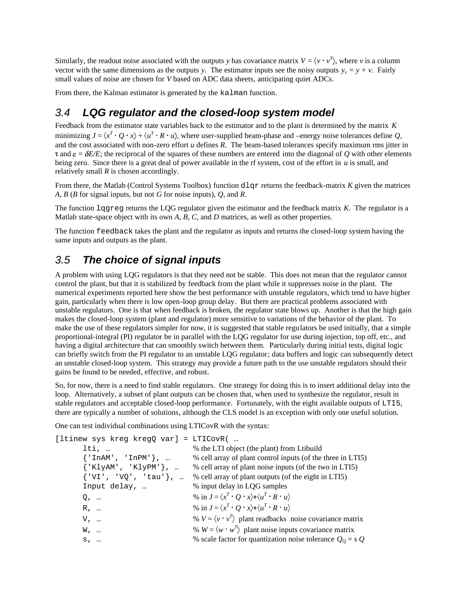Similarly, the readout noise associated with the outputs *y* has covariance matrix  $V = \langle v \cdot v^T \rangle$ , where *v* is a column vector with the same dimensions as the outputs *y*. The estimator inputs see the noisy outputs  $y_v = y + v$ . Fairly small values of noise are chosen for *V* based on ADC data sheets, anticipating quiet ADCs.

From there, the Kalman estimator is generated by the kalman function.

## 3.4 **LQG regulator and the closed-loop system model**

Feedback from the estimator state variables back to the estimator and to the plant is determined by the matrix *K* minimizing  $J = \langle x^T \cdot Q \cdot x \rangle + \langle u^T \cdot R \cdot u \rangle$ , where user-supplied beam-phase and –energy noise tolerances define *Q*, and the cost associated with non-zero effort *u* defines *R*. The beam-based tolerances specify maximum rms jitter in  $\tau$  and  $\varepsilon = \delta E/E$ ; the reciprocal of the squares of these numbers are entered into the diagonal of *Q* with other elements being zero. Since there is a great deal of power available in the rf system, cost of the effort in *u* is small, and relatively small *R* is chosen accordingly.

From there, the Matlab (Control Systems Toolbox) function dlqr returns the feedback-matrix *K* given the matrices *A*, *B* (*B* for signal inputs, but not *G* for noise inputs), *Q*, and *R*.

The function lqgreg returns the LQG regulator given the estimator and the feedback matrix *K*. The regulator is a Matlab state-space object with its own *A*, *B*, *C*, and *D* matrices, as well as other properties.

The function feedback takes the plant and the regulator as inputs and returns the closed-loop system having the same inputs and outputs as the plant.

## 3.5 **The choice of signal inputs**

A problem with using LQG regulators is that they need not be stable. This does not mean that the regulator cannot control the plant, but that it is stabilized by feedback from the plant while it suppresses noise in the plant. The numerical experiments reported here show the best performance with unstable regulators, which tend to have higher gain, particularly when there is low open-loop group delay. But there are practical problems associated with unstable regulators. One is that when feedback is broken, the regulator state blows up. Another is that the high gain makes the closed-loop system (plant and regulator) more sensitive to variations of the behavior of the plant. To make the use of these regulators simpler for now, it is suggested that stable regulators be used initially, that a simple proportional-integral (PI) regulator be in parallel with the LQG regulator for use during injection, top off, etc., and having a digital architecture that can smoothly switch between them. Particularly during initial tests, digital logic can briefly switch from the PI regulator to an unstable LQG regulator; data buffers and logic can subsequently detect an unstable closed-loop system. This strategy may provide a future path to the use unstable regulators should their gains be found to be needed, effective, and robust.

So, for now, there is a need to find stable regulators. One strategy for doing this is to insert additional delay into the loop. Alternatively, a subset of plant outputs can be chosen that, when used to synthesize the regulator, result in stable regulators and acceptable closed-loop performance. Fortunately, with the eight available outputs of LTI5, there are typically a number of solutions, although the CLS model is an exception with only one useful solution.

One can test individual combinations using LTICovR with the syntax:

| [ltinew sys kreg kregQ var] = LTICovR( |                                                                                      |
|----------------------------------------|--------------------------------------------------------------------------------------|
| $lti.$                                 | % the LTI object (the plant) from Ltibuild                                           |
| ${lnAM', 'InPM'}$ ,                    | % cell array of plant control inputs (of the three in LTI5)                          |
| ${KlyAM', 'KlyPM'}$ ,                  | % cell array of plant noise inputs (of the two in LTI5)                              |
| ${'VI', 'VQ', 'tau''}$ ,               | % cell array of plant outputs (of the eight in LTI5)                                 |
| Input delay,                           | % input delay in LQG samples                                                         |
| $Q_{\ell}$                             | % in $J = \langle x^T \cdot Q \cdot x \rangle + \langle u^T \cdot R \cdot u \rangle$ |
| R,                                     | % in $J = \langle x^T \cdot Q \cdot x \rangle + \langle u^T \cdot R \cdot u \rangle$ |
| $V$ ,                                  | % $V = \langle v \cdot v^T \rangle$ plant readbacks noise covariance matrix          |
| W,                                     | % $W = \langle w \cdot w^T \rangle$ plant noise inputs covariance matrix             |
| S,                                     | % scale factor for quantization noise tolerance $Q_0 = s Q$                          |
|                                        |                                                                                      |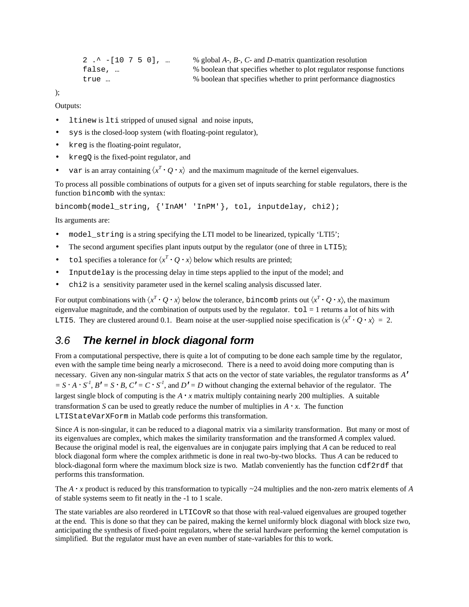```
2 .^ -[10 7 5 0], … % global A-, B-, C- and D-matrix quantization resolution
false, … % boolean that specifies whether to plot regulator response functions
true … % boolean that specifies whether to print performance diagnostics
```
);

Outputs:

- ltinew is lti stripped of unused signal and noise inputs,
- sys is the closed-loop system (with floating-point regulator),
- kreg is the floating-point regulator,
- kregQ is the fixed-point regulator, and
- var is an array containing  $\langle x^T \cdot Q \cdot x \rangle$  and the maximum magnitude of the kernel eigenvalues.

To process all possible combinations of outputs for a given set of inputs searching for stable regulators, there is the function bincomb with the syntax:

bincomb(model\_string, {'InAM' 'InPM'}, tol, inputdelay, chi2);

Its arguments are:

- model string is a string specifying the LTI model to be linearized, typically 'LTI5';
- The second argument specifies plant inputs output by the regulator (one of three in LTI5);
- tol specifies a tolerance for  $\langle x^T \cdot Q \cdot x \rangle$  below which results are printed;
- Inputdelay is the processing delay in time steps applied to the input of the model; and
- chi2 is a sensitivity parameter used in the kernel scaling analysis discussed later.

For output combinations with  $\langle x^T \cdot Q \cdot x \rangle$  below the tolerance, bincomb prints out  $\langle x^T \cdot Q \cdot x \rangle$ , the maximum eigenvalue magnitude, and the combination of outputs used by the regulator.  $\text{tol} = 1$  returns a lot of hits with LTI5. They are clustered around 0.1. Beam noise at the user-supplied noise specification is  $\langle x^T \cdot Q \cdot x \rangle = 2$ .

### 3.6 **The kernel in block diagonal form**

From a computational perspective, there is quite a lot of computing to be done each sample time by the regulator, even with the sample time being nearly a microsecond. There is a need to avoid doing more computing than is necessary. Given any non-singular matrix *S* that acts on the vector of state variables, the regulator transforms as *A*  $S \cdot A \cdot S^1$ ,  $B' = S \cdot B$ ,  $C' = C \cdot S^1$ , and  $D' = D$  without changing the external behavior of the regulator. The largest single block of computing is the  $A \cdot x$  matrix multiply containing nearly 200 multiplies. A suitable transformation *S* can be used to greatly reduce the number of multiplies in  $A \cdot x$ . The function LTIStateVarXForm in Matlab code performs this transformation.

Since *A* is non-singular, it can be reduced to a diagonal matrix via a similarity transformation. But many or most of its eigenvalues are complex, which makes the similarity transformation and the transformed *A* complex valued. Because the original model is real, the eigenvalues are in conjugate pairs implying that *A* can be reduced to real block diagonal form where the complex arithmetic is done in real two-by-two blocks. Thus *A* can be reduced to block-diagonal form where the maximum block size is two. Matlab conveniently has the function cdf2rdf that performs this transformation.

The  $A \cdot x$  product is reduced by this transformation to typically  $\sim$  24 multiplies and the non-zero matrix elements of  $A$ of stable systems seem to fit neatly in the -1 to 1 scale.

The state variables are also reordered in LTICovR so that those with real-valued eigenvalues are grouped together at the end. This is done so that they can be paired, making the kernel uniformly block diagonal with block size two, anticipating the synthesis of fixed-point regulators, where the serial hardware performing the kernel computation is simplified. But the regulator must have an even number of state-variables for this to work.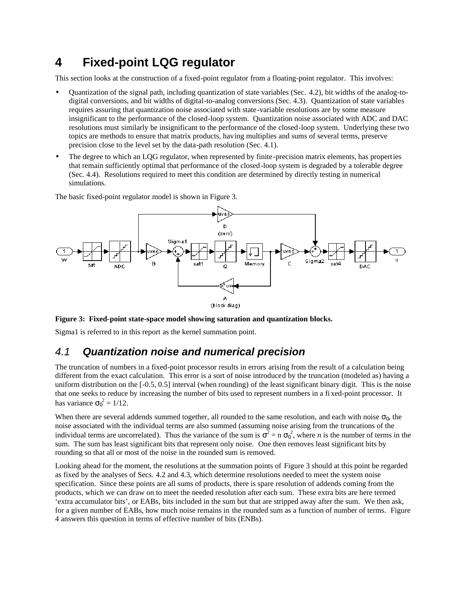# **4 Fixed-point LQG regulator**

This section looks at the construction of a fixed-point regulator from a floating-point regulator. This involves:

- Quantization of the signal path, including quantization of state variables (Sec. 4.2), bit widths of the analog-todigital conversions, and bit widths of digital-to-analog conversions (Sec. 4.3). Quantization of state variables requires assuring that quantization noise associated with state-variable resolutions are by some measure insignificant to the performance of the closed-loop system. Quantization noise associated with ADC and DAC resolutions must similarly be insignificant to the performance of the closed-loop system. Underlying these two topics are methods to ensure that matrix products, having multiplies and sums of several terms, preserve precision close to the level set by the data-path resolution (Sec. 4.1).
- The degree to which an LQG regulator, when represented by finite-precision matrix elements, has properties that remain sufficiently optimal that performance of the closed-loop system is degraded by a tolerable degree (Sec. 4.4). Resolutions required to meet this condition are determined by directly testing in numerical simulations.

The basic fixed-point regulator model is shown in Figure 3.



#### **Figure 3: Fixed-point state-space model showing saturation and quantization blocks.**

Sigma1 is referred to in this report as the kernel summation point.

### 4.1 **Quantization noise and numerical precision**

The truncation of numbers in a fixed-point processor results in errors arising from the result of a calculation being different from the exact calculation. This error is a sort of noise introduced by the truncation (modeled as) having a uniform distribution on the [-0.5, 0.5] interval (when rounding) of the least significant binary digit. This is the noise that one seeks to reduce by increasing the number of bits used to represent numbers in a fi xed-point processor. It has variance  $\sigma_0^2 = 1/12$ .

When there are several addends summed together, all rounded to the same resolution, and each with noise  $\sigma_0$ , the noise associated with the individual terms are also summed (assuming noise arising from the truncations of the individual terms are uncorrelated). Thus the variance of the sum is  $\sigma^2 = n \sigma_0^2$ , where *n* is the number of terms in the sum. The sum has least significant bits that represent only noise. One then removes least significant bits by rounding so that all or most of the noise in the rounded sum is removed.

Looking ahead for the moment, the resolutions at the summation points of Figure 3 should at this point be regarded as fixed by the analyses of Secs. 4.2 and 4.3, which determine resolutions needed to meet the system noise specification. Since these points are all sums of products, there is spare resolution of addends coming from the products, which we can draw on to meet the needed resolution after each sum. These extra bits are here termed 'extra accumulator bits', or EABs, bits included in the sum but that are stripped away after the sum. We then ask, for a given number of EABs, how much noise remains in the rounded sum as a function of number of terms. Figure 4 answers this question in terms of effective number of bits (ENBs).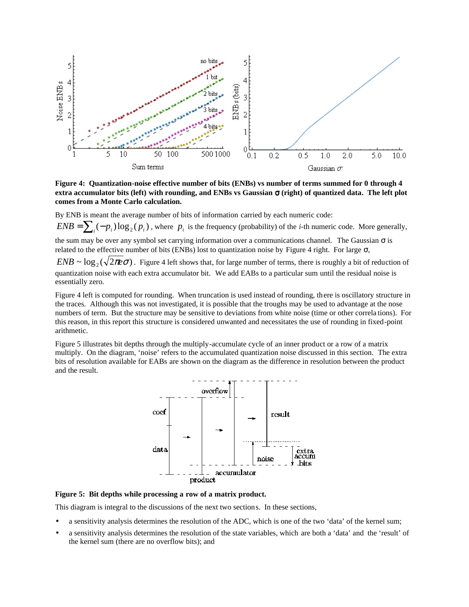

**Figure 4: Quantization-noise effective number of bits (ENBs) vs number of terms summed for 0 through 4 extra accumulator bits (left) with rounding, and ENBs vs Gaussian** σ **(right) of quantized data. The left plot comes from a Monte Carlo calculation.**

By ENB is meant the average number of bits of information carried by each numeric code:

 $ENB = \sum_i (-p_i) \log_2(p_i)$ , where  $p_i$  is the frequency (probability) of the *i*-th numeric code. More generally,

the sum may be over any symbol set carrying information over a communications channel. The Gaussian  $\sigma$  is related to the effective number of bits (ENBs) lost to quantization noise by Figure 4 right. For large σ,

 $ENB \sim \log_2(\sqrt{2\pi e\sigma})$ . Figure 4 left shows that, for large number of terms, there is roughly a bit of reduction of quantization noise with each extra accumulator bit. We add EABs to a particular sum until the residual noise is essentially zero.

Figure 4 left is computed for rounding. When truncation is used instead of rounding, there is oscillatory structure in the traces. Although this was not investigated, it is possible that the troughs may be used to advantage at the nose numbers of term. But the structure may be sensitive to deviations from white noise (time or other correla tions). For this reason, in this report this structure is considered unwanted and necessitates the use of rounding in fixed-point arithmetic.

Figure 5 illustrates bit depths through the multiply-accumulate cycle of an inner product or a row of a matrix multiply. On the diagram, 'noise' refers to the accumulated quantization noise discussed in this section. The extra bits of resolution available for EABs are shown on the diagram as the difference in resolution between the product and the result.



**Figure 5: Bit depths while processing a row of a matrix product.**

This diagram is integral to the discussions of the next two sections. In these sections,

- a sensitivity analysis determines the resolution of the ADC, which is one of the two 'data' of the kernel sum;
- a sensitivity analysis determines the resolution of the state variables, which are both a 'data' and the 'result' of the kernel sum (there are no overflow bits); and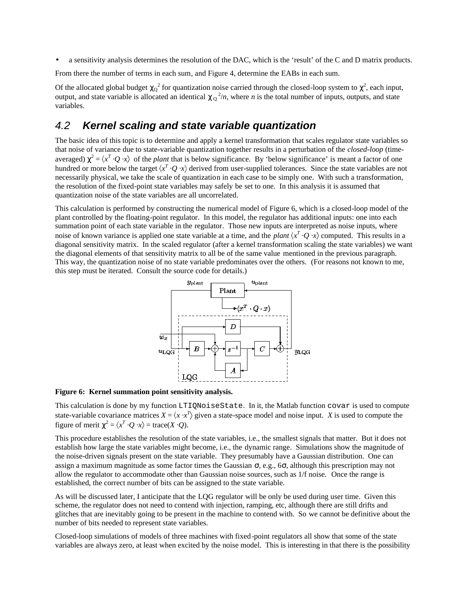• a sensitivity analysis determines the resolution of the DAC, which is the 'result' of the C and D matrix products.

From there the number of terms in each sum, and Figure 4, determine the EABs in each sum.

Of the allocated global budget  $\chi_Q^2$  for quantization noise carried through the closed-loop system to  $\chi^2$ , each input, output, and state variable is allocated an identical  $\chi_Q^2/n$ , where *n* is the total number of inputs, outputs, and state variables.

#### 4.2 **Kernel scaling and state variable quantization**

The basic idea of this topic is to determine and apply a kernel transformation that scales regulator state variables so that noise of variance due to state-variable quantization together results in a perturbation of the *closed-loop* (timeaveraged)  $\chi^2 = \langle x^T \cdot Q \cdot x \rangle$  of the *plant* that is below significance. By 'below significance' is meant a factor of one hundred or more below the target  $\langle x^T \cdot Q \cdot x \rangle$  derived from user-supplied tolerances. Since the state variables are not necessarily physical, we take the scale of quantization in each case to be simply one. With such a transformation, the resolution of the fixed-point state variables may safely be set to one. In this analysis it is assumed that quantization noise of the state variables are all uncorrelated.

This calculation is performed by constructing the numerical model of Figure 6, which is a closed-loop model of the plant controlled by the floating-point regulator. In this model, the regulator has additional inputs: one into each summation point of each state variable in the regulator. Those new inputs are interpreted as noise inputs, where noise of known variance is applied one state variable at a time, and the *plant*  $\langle x^T \cdot Q \cdot x \rangle$  computed. This results in a diagonal sensitivity matrix. In the scaled regulator (after a kernel transformation scaling the state variables) we want the diagonal elements of that sensitivity matrix to all be of the same value mentioned in the previous paragraph. This way, the quantization noise of no state variable predominates over the others. (For reasons not known to me, this step must be iterated. Consult the source code for details.)



**Figure 6: Kernel summation point sensitivity analysis.**

This calculation is done by my function LTIQNoiseState. In it, the Matlab function covar is used to compute state-variable covariance matrices  $X = \langle x \cdot x^T \rangle$  given a state-space model and noise input. *X* is used to compute the figure of merit  $\chi^2 = \langle x^T \cdot Q \cdot x \rangle = \text{trace}(X \cdot Q)$ .

This procedure establishes the resolution of the state variables, i.e., the smallest signals that matter. But it does not establish how large the state variables might become, i.e., the dynamic range. Simulations show the magnitude of the noise-driven signals present on the state variable. They presumably have a Gaussian distribution. One can assign a maximum magnitude as some factor times the Gaussian  $\sigma$ , e.g.,  $6\sigma$ , although this prescription may not allow the regulator to accommodate other than Gaussian noise sources, such as 1/f noise. Once the range is established, the correct number of bits can be assigned to the state variable.

As will be discussed later, I anticipate that the LQG regulator will be only be used during user time. Given this scheme, the regulator does not need to contend with injection, ramping, etc, although there are still drifts and glitches that are inevitably going to be present in the machine to contend with. So we cannot be definitive about the number of bits needed to represent state variables.

Closed-loop simulations of models of three machines with fixed-point regulators all show that some of the state variables are always zero, at least when excited by the noise model. This is interesting in that there is the possibility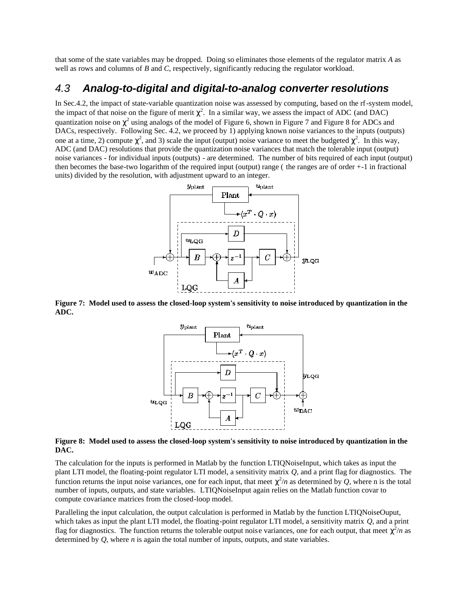that some of the state variables may be dropped. Doing so eliminates those elements of the regulator matrix *A* as well as rows and columns of *B* and *C*, respectively, significantly reducing the regulator workload.

#### 4.3 **Analog-to-digital and digital-to-analog converter resolutions**

In Sec.4.2, the impact of state-variable quantization noise was assessed by computing, based on the rf-system model, the impact of that noise on the figure of merit  $\chi^2$ . In a similar way, we assess the impact of ADC (and DAC) quantization noise on  $\chi^2$  using analogs of the model of Figure 6, shown in Figure 7 and Figure 8 for ADCs and DACs, respectively. Following Sec. 4.2, we proceed by 1) applying known noise variances to the inputs (outputs) one at a time, 2) compute  $\chi^2$ , and 3) scale the input (output) noise variance to meet the budgeted  $\chi^2$ . In this way, ADC (and DAC) resolutions that provide the quantization noise variances that match the tolerable input (output) noise variances - for individual inputs (outputs) - are determined. The number of bits required of each input (output) then becomes the base-two logarithm of the required input (output) range ( the ranges are of order +-1 in fractional units) divided by the resolution, with adjustment upward to an integer.



**Figure 7: Model used to assess the closed-loop system's sensitivity to noise introduced by quantization in the ADC.**



#### **Figure 8: Model used to assess the closed-loop system's sensitivity to noise introduced by quantization in the DAC.**

The calculation for the inputs is performed in Matlab by the function LTIQNoiseInput, which takes as input the plant LTI model, the floating-point regulator LTI model, a sensitivity matrix *Q*, and a print flag for diagnostics. The function returns the input noise variances, one for each input, that meet  $\chi^2/n$  as determined by *Q*, where n is the total number of inputs, outputs, and state variables. LTIQNoiseInput again relies on the Matlab function covar to compute covariance matrices from the closed-loop model.

Paralleling the input calculation, the output calculation is performed in Matlab by the function LTIQNoiseOuput, which takes as input the plant LTI model, the floating-point regulator LTI model, a sensitivity matrix *Q*, and a print flag for diagnostics. The function returns the tolerable output noise variances, one for each output, that meet  $\chi^2/n$  as determined by *Q*, where *n* is again the total number of inputs, outputs, and state variables.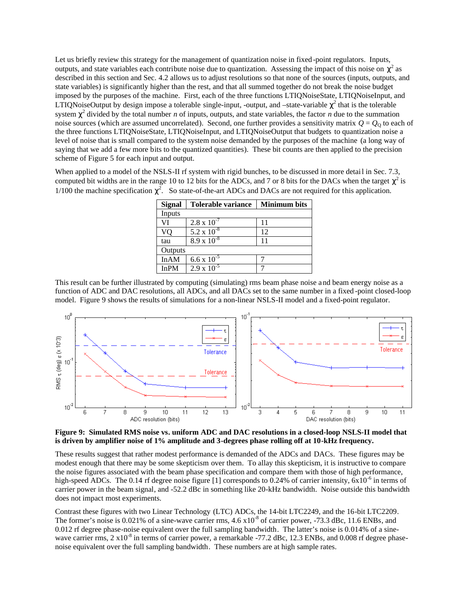Let us briefly review this strategy for the management of quantization noise in fixed -point regulators. Inputs, outputs, and state variables each contribute noise due to quantization. Assessing the impact of this noise on  $\chi^2$  as described in this section and Sec. 4.2 allows us to adjust resolutions so that none of the sources (inputs, outputs, and state variables) is significantly higher than the rest, and that all summed together do not break the noise budget imposed by the purposes of the machine. First, each of the three functions LTIQNoiseState, LTIQNoiseInput, and LTIQNoiseOutput by design impose a tolerable single-input, -output, and -state-variable  $\chi^2$  that is the tolerable system  $\chi^2$  divided by the total number *n* of inputs, outputs, and state variables, the factor *n* due to the summation noise sources (which are assumed uncorrelated). Second, one further provides a sensitivity matrix  $Q = Q_0$  to each of the three functions LTIQNoiseState, LTIQNoiseInput, and LTIQNoiseOutput that budgets to quantization noise a level of noise that is small compared to the system noise demanded by the purposes of the machine (a long way of saying that we add a few more bits to the quantized quantities). These bit counts are then applied to the precision scheme of Figure 5 for each input and output.

When applied to a model of the NSLS-II rf system with rigid bunches, to be discussed in more detail in Sec. 7.3, computed bit widths are in the range 10 to 12 bits for the ADCs, and 7 or 8 bits for the DACs when the target  $\chi^2$  is 1/100 the machine specification  $\chi^2$ . So state-of-the-art ADCs and DACs are not required for this application.

| <b>Signal</b> | <b>Tolerable variance</b> | <b>Minimum bits</b> |  |
|---------------|---------------------------|---------------------|--|
| Inputs        |                           |                     |  |
| VI            | $2.8 \times 10^{-7}$      | 11                  |  |
| VO            | $5.2 \times 10^{-8}$      | 12                  |  |
| tau           | 8.9 x $10^{-8}$           | 11                  |  |
| Outputs       |                           |                     |  |
| InAM          | $6.6 \times 10^{-5}$      |                     |  |
| <b>InPM</b>   | $2.9 \times 10^{-5}$      |                     |  |

This result can be further illustrated by computing (simulating) rms beam phase noise a nd beam energy noise as a function of ADC and DAC resolutions, all ADCs, and all DACs set to the same number in a fixed -point closed-loop model. Figure 9 shows the results of simulations for a non-linear NSLS-II model and a fixed-point regulator.



**Figure 9: Simulated RMS noise vs. uniform ADC and DAC resolutions in a closed-loop NSLS-II model that is driven by amplifier noise of 1% amplitude and 3-degrees phase rolling off at 10-kHz frequency.**

These results suggest that rather modest performance is demanded of the ADCs and DACs. These figures may be modest enough that there may be some skepticism over them. To allay this skepticism, it is instructive to compare the noise figures associated with the beam phase specification and compare them with those of high performance, high-speed ADCs. The 0.14 rf degree noise figure [1] corresponds to 0.24% of carrier intensity,  $6x10^{-6}$  in terms of carrier power in the beam signal, and -52.2 dBc in something like 20-kHz bandwidth. Noise outside this bandwidth does not impact most experiments.

Contrast these figures with two Linear Technology (LTC) ADCs, the 14-bit LTC2249, and the 16-bit LTC2209. The former's noise is 0.021% of a sine-wave carrier rms,  $4.6 \times 10^{-8}$  of carrier power, -73.3 dBc, 11.6 ENBs, and 0.012 rf degree phase-noise equivalent over the full sampling bandwidth. The latter's noise is 0.014% of a sinewave carrier rms, 2 x10<sup>-8</sup> in terms of carrier power, a remarkable -77.2 dBc, 12.3 ENBs, and 0.008 rf degree phasenoise equivalent over the full sampling bandwidth. These numbers are at high sample rates.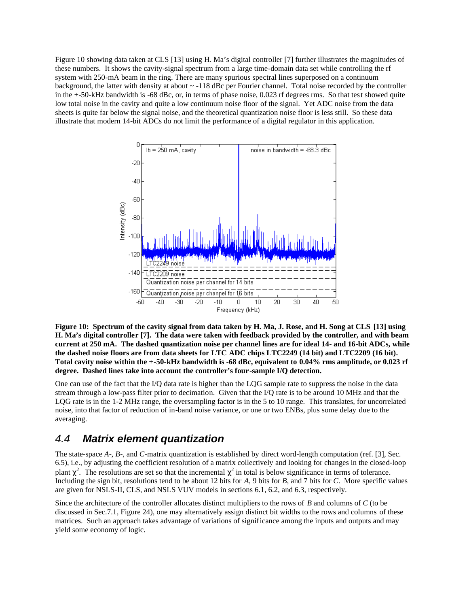Figure 10 showing data taken at CLS [13] using H. Ma's digital controller [7] further illustrates the magnitudes of these numbers. It shows the cavity-signal spectrum from a large time-domain data set while controlling the rf system with 250-mA beam in the ring. There are many spurious spectral lines superposed on a continuum background, the latter with density at about ~ -118 dBc per Fourier channel. Total noise recorded by the controller in the +-50-kHz bandwidth is -68 dBc, or, in terms of phase noise, 0.023 rf degrees rms. So that test showed quite low total noise in the cavity and quite a low continuum noise floor of the signal. Yet ADC noise from the data sheets is quite far below the signal noise, and the theoretical quantization noise floor is less still. So these data illustrate that modern 14-bit ADCs do not limit the performance of a digital regulator in this application.



**Figure 10: Spectrum of the cavity signal from data taken by H. Ma, J. Rose, and H. Song at CLS [13] using H. Ma's digital controller [7]. The data were taken with feedback provided by the controller, and with beam current at 250 mA. The dashed quantization noise per channel lines are for ideal 14- and 16-bit ADCs, while the dashed noise floors are from data sheets for LTC ADC chips LTC2249 (14 bit) and LTC2209 (16 bit). Total cavity noise within the +-50-kHz bandwidth is -68 dBc, equivalent to 0.04% rms amplitude, or 0.023 rf degree. Dashed lines take into account the controller's four-sample I/Q detection.**

One can use of the fact that the I/Q data rate is higher than the LQG sample rate to suppress the noise in the data stream through a low-pass filter prior to decimation. Given that the I/Q rate is to be around 10 MHz and that the LQG rate is in the 1-2 MHz range, the oversampling factor is in the 5 to 10 range. This translates, for uncorrelated noise, into that factor of reduction of in-band noise variance, or one or two ENBs, plus some delay due to the averaging.

#### 4.4 **Matrix element quantization**

The state-space *A*-, *B*-, and *C*-matrix quantization is established by direct word-length computation (ref. [3], Sec. 6.5), i.e., by adjusting the coefficient resolution of a matrix collectively and looking for changes in the closed-loop plant  $\chi^2$ . The resolutions are set so that the incremental  $\chi^2$  in total is below significance in terms of tolerance. Including the sign bit, resolutions tend to be about 12 bits for *A*, 9 bits for *B*, and 7 bits for *C*. More specific values are given for NSLS-II, CLS, and NSLS VUV models in sections 6.1, 6.2, and 6.3, respectively.

Since the architecture of the controller allocates distinct multipliers to the rows of *B* and columns of *C* (to be discussed in Sec.7.1, Figure 24), one may alternatively assign distinct bit widths to the rows and columns of these matrices. Such an approach takes advantage of variations of significance among the inputs and outputs and may yield some economy of logic.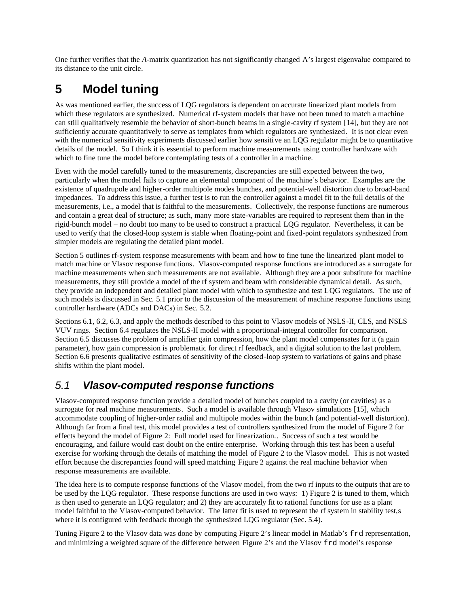One further verifies that the *A*-matrix quantization has not significantly changed A's largest eigenvalue compared to its distance to the unit circle.

# **5 Model tuning**

As was mentioned earlier, the success of LQG regulators is dependent on accurate linearized plant models from which these regulators are synthesized. Numerical rf-system models that have not been tuned to match a machine can still qualitatively resemble the behavior of short-bunch beams in a single-cavity rf system [14], but they are not sufficiently accurate quantitatively to serve as templates from which regulators are synthesized. It is not clear even with the numerical sensitivity experiments discussed earlier how sensitive an LQG regulator might be to quantitative details of the model. So I think it is essential to perform machine measurements using controller hardware with which to fine tune the model before contemplating tests of a controller in a machine.

Even with the model carefully tuned to the measurements, discrepancies are still expected between the two, particularly when the model fails to capture an elemental component of the machine's behavior. Examples are the existence of quadrupole and higher-order multipole modes bunches, and potential-well distortion due to broad-band impedances. To address this issue, a further test is to run the controller against a model fit to the full details of the measurements, i.e., a model that is faithful to the measurements. Collectively, the response functions are numerous and contain a great deal of structure; as such, many more state-variables are required to represent them than in the rigid-bunch model – no doubt too many to be used to construct a practical LQG regulator. Nevertheless, it can be used to verify that the closed-loop system is stable when floating-point and fixed-point regulators synthesized from simpler models are regulating the detailed plant model.

Section 5 outlines rf-system response measurements with beam and how to fine tune the linearized plant model to match machine or Vlasov response functions. Vlasov-computed response functions are introduced as a surrogate for machine measurements when such measurements are not available. Although they are a poor substitute for machine measurements, they still provide a model of the rf system and beam with considerable dynamical detail. As such, they provide an independent and detailed plant model with which to synthesize and test LQG regulators. The use of such models is discussed in Sec. 5.1 prior to the discussion of the measurement of machine response functions using controller hardware (ADCs and DACs) in Sec. 5.2.

Sections 6.1, 6.2, 6.3, and apply the methods described to this point to Vlasov models of NSLS-II, CLS, and NSLS VUV rings. Section 6.4 regulates the NSLS-II model with a proportional-integral controller for comparison. Section 6.5 discusses the problem of amplifier gain compression, how the plant model compensates for it (a gain parameter), how gain compression is problematic for direct rf feedback, and a digital solution to the last problem. Section 6.6 presents qualitative estimates of sensitivity of the closed-loop system to variations of gains and phase shifts within the plant model.

## 5.1 **Vlasov-computed response functions**

Vlasov-computed response function provide a detailed model of bunches coupled to a cavity (or cavities) as a surrogate for real machine measurements. Such a model is available through Vlasov simulations [15], which accommodate coupling of higher-order radial and multipole modes within the bunch (and potential-well distortion). Although far from a final test, this model provides a test of controllers synthesized from the model of Figure 2 for effects beyond the model of Figure 2: Full model used for linearization.. Success of such a test would be encouraging, and failure would cast doubt on the entire enterprise. Working through this test has been a useful exercise for working through the details of matching the model of Figure 2 to the Vlasov model. This is not wasted effort because the discrepancies found will speed matching Figure 2 against the real machine behavior when response measurements are available.

The idea here is to compute response functions of the Vlasov model, from the two rf inputs to the outputs that are to be used by the LQG regulator. These response functions are used in two ways: 1) Figure 2 is tuned to them, which is then used to generate an LQG regulator; and 2) they are accurately fit to rational functions for use as a plant model faithful to the Vlasov-computed behavior. The latter fit is used to represent the rf system in stability test,s where it is configured with feedback through the synthesized LOG regulator (Sec. 5.4).

Tuning Figure 2 to the Vlasov data was done by computing Figure 2's linear model in Matlab's frd representation, and minimizing a weighted square of the difference between Figure 2's and the Vlasov frd model's response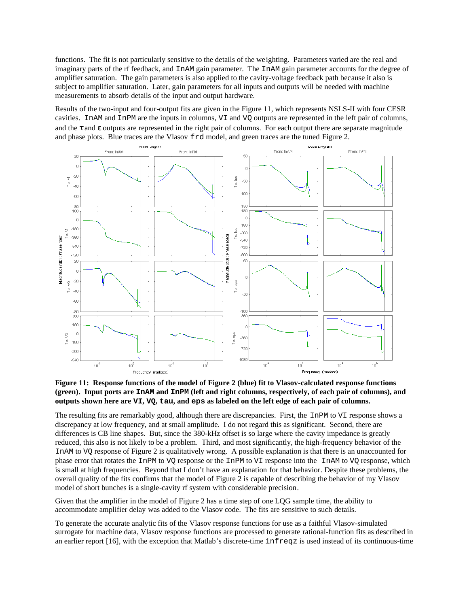functions. The fit is not particularly sensitive to the details of the weighting. Parameters varied are the real and imaginary parts of the rf feedback, and InAM gain parameter. The InAM gain parameter accounts for the degree of amplifier saturation. The gain parameters is also applied to the cavity-voltage feedback path because it also is subject to amplifier saturation. Later, gain parameters for all inputs and outputs will be needed with machine measurements to absorb details of the input and output hardware.

Results of the two-input and four-output fits are given in the Figure 11, which represents NSLS-II with four CESR cavities. InAM and InPM are the inputs in columns, VI and VQ outputs are represented in the left pair of columns, and the  $\tau$  and  $\varepsilon$  outputs are represented in the right pair of columns. For each output there are separate magnitude and phase plots. Blue traces are the Vlasov frd model, and green traces are the tuned Figure 2.



#### **Figure 11: Response functions of the model of Figure 2 (blue) fit to Vlasov-calculated response functions (green). Input ports are InAM and InPM (left and right columns, respectively, of each pair of columns), and outputs shown here are VI, VQ, tau, and eps as labeled on the left edge of each pair of columns.**

The resulting fits are remarkably good, although there are discrepancies. First, the InPM to VI response shows a discrepancy at low frequency, and at small amplitude. I do not regard this as significant. Second, there are differences is CB line shapes. But, since the 380-kHz offset is so large where the cavity impedance is greatly reduced, this also is not likely to be a problem. Third, and most significantly, the high-frequency behavior of the InAM to VQ response of Figure 2 is qualitatively wrong. A possible explanation is that there is an unaccounted for phase error that rotates the InPM to VQ response or the InPM to VI response into the InAM to VQ response, which is small at high frequencies. Beyond that I don't have an explanation for that behavior. Despite these problems, the overall quality of the fits confirms that the model of Figure 2 is capable of describing the behavior of my Vlasov model of short bunches is a single-cavity rf system with considerable precision.

Given that the amplifier in the model of Figure 2 has a time step of one LQG sample time, the ability to accommodate amplifier delay was added to the Vlasov code. The fits are sensitive to such details.

To generate the accurate analytic fits of the Vlasov response functions for use as a faithful Vlasov-simulated surrogate for machine data, Vlasov response functions are processed to generate rational-function fits as described in an earlier report [16], with the exception that Matlab's discrete-time infreqz is used instead of its continuous-time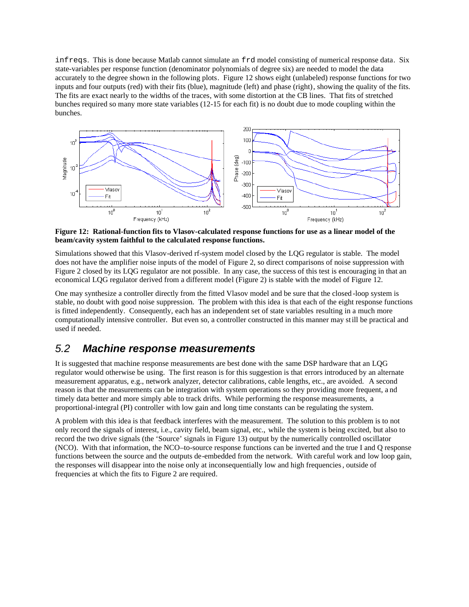infreqs. This is done because Matlab cannot simulate an frd model consisting of numerical response data. Six state-variables per response function (denominator polynomials of degree six) are needed to model the data accurately to the degree shown in the following plots. Figure 12 shows eight (unlabeled) response functions for two inputs and four outputs (red) with their fits (blue), magnitude (left) and phase (right), showing the quality of the fits. The fits are exact nearly to the widths of the traces, with some distortion at the CB lines. That fits of stretched bunches required so many more state variables (12-15 for each fit) is no doubt due to mode coupling within the bunches.



**Figure 12: Rational-function fits to Vlasov-calculated response functions for use as a linear model of the beam/cavity system faithful to the calculated response functions.**

Simulations showed that this Vlasov-derived rf-system model closed by the LQG regulator is stable. The model does not have the amplifier noise inputs of the model of Figure 2, so direct comparisons of noise suppression with Figure 2 closed by its LQG regulator are not possible. In any case, the success of this test is encouraging in that an economical LQG regulator derived from a different model (Figure 2) is stable with the model of Figure 12.

One may synthesize a controller directly from the fitted Vlasov model and be sure that the closed -loop system is stable, no doubt with good noise suppression. The problem with this idea is that each of the eight response functions is fitted independently. Consequently, each has an independent set of state variables resulting in a much more computationally intensive controller. But even so, a controller constructed in this manner may still be practical and used if needed.

#### 5.2 **Machine response measurements**

It is suggested that machine response measurements are best done with the same DSP hardware that an LQG regulator would otherwise be using. The first reason is for this suggestion is that errors introduced by an alternate measurement apparatus, e.g., network analyzer, detector calibrations, cable lengths, etc., are avoided. A second reason is that the measurements can be integration with system operations so they providing more frequent, a nd timely data better and more simply able to track drifts. While performing the response measurements, a proportional-integral (PI) controller with low gain and long time constants can be regulating the system.

A problem with this idea is that feedback interferes with the measurement. The solution to this problem is to not only record the signals of interest, i.e., cavity field, beam signal, etc., while the system is being excited, but also to record the two drive signals (the 'Source' signals in Figure 13) output by the numerically controlled oscillator (NCO). With that information, the NCO–to-source response functions can be inverted and the true I and Q response functions between the source and the outputs de-embedded from the network. With careful work and low loop gain, the responses will disappear into the noise only at inconsequentially low and high frequencies, outside of frequencies at which the fits to Figure 2 are required.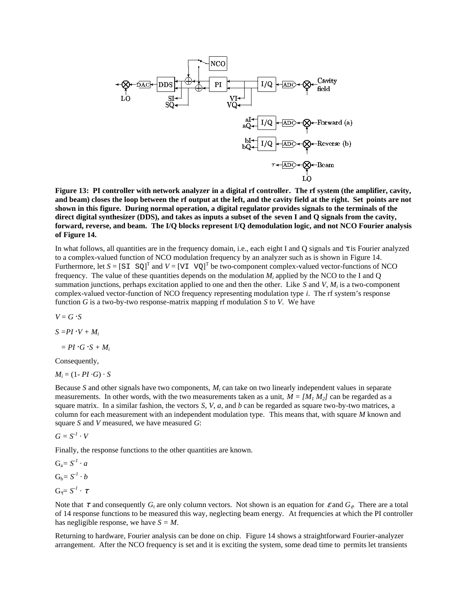

**Figure 13: PI controller with network analyzer in a digital rf controller. The rf system (the amplifier, cavity, and beam) closes the loop between the rf output at the left, and the cavity field at the right. Set points are not shown in this figure. During normal operation, a digital regulator provides signals to the terminals of the direct digital synthesizer (DDS), and takes as inputs a subset of the seven I and Q signals from the cavity, forward, reverse, and beam. The I/Q blocks represent I/Q demodulation logic, and not NCO Fourier analysis of Figure 14.**

In what follows, all quantities are in the frequency domain, i.e., each eight I and Q signals and τ is Fourier analyzed to a complex-valued function of NCO modulation frequency by an analyzer such as is shown in Figure 14. Furthermore, let  $S = [S I S Q]^{T}$  and  $V = [VI V Q]^{T}$  be two-component complex-valued vector-functions of NCO frequency. The value of these quantities depends on the modulation  $M_i$  applied by the NCO to the I and Q summation junctions, perhaps excitation applied to one and then the other. Like *S* and *V*, *M<sup>i</sup>* is a two-component complex-valued vector-function of NCO frequency representing modulation type *i*. The rf system's response function *G* is a two-by-two response-matrix mapping rf modulation *S* to *V*. We have

 $V = G \cdot S$ 

 $S = PI \cdot V + M_i$ 

 $= PI \cdot G \cdot S + M_i$ 

Consequently,

 $M_i = (1 - PI \cdot G) \cdot S$ 

Because *S* and other signals have two components, *M<sup>i</sup>* can take on two linearly independent values in separate measurements. In other words, with the two measurements taken as a unit,  $M = [M_1 M_2]$  can be regarded as a square matrix. In a similar fashion, the vectors *S*, *V*, *a*, and *b* can be regarded as square two-by-two matrices, a column for each measurement with an independent modulation type. This means that, with square *M* known and square *S* and *V* measured, we have measured *G*:

 $G = S^{-1} \cdot V$ 

Finally, the response functions to the other quantities are known.

 $G_a = S^I \cdot a$  $G_b = S^{-1} \cdot b$  $G_{\tau} = S^{-1} \cdot \tau$ 

Note that  $\tau$  and consequently  $G_t$  are only column vectors. Not shown is an equation for  $\varepsilon$  and  $G_{\varepsilon}$ . There are a total of 14 response functions to be measured this way, neglecting beam energy. At frequencies at which the PI controller has negligible response, we have *S = M*.

Returning to hardware, Fourier analysis can be done on chip. Figure 14 shows a straightforward Fourier-analyzer arrangement. After the NCO frequency is set and it is exciting the system, some dead time to permits let transients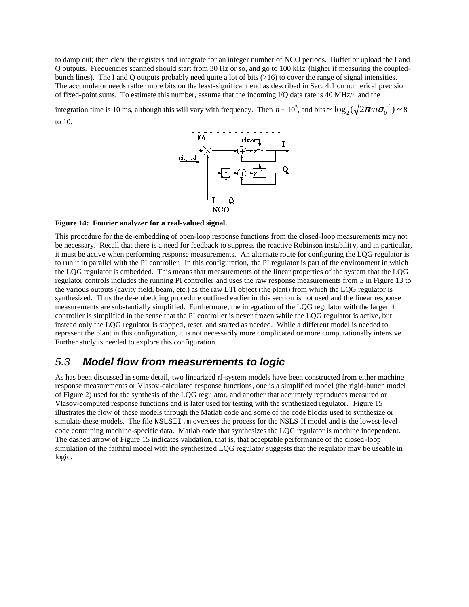to damp out; then clear the registers and integrate for an integer number of NCO periods. Buffer or upload the I and Q outputs. Frequencies scanned should start from 30 Hz or so, and go to 100 kHz (higher if measuring the coupledbunch lines). The I and Q outputs probably need quite a lot of bits (>16) to cover the range of signal intensities. The accumulator needs rather more bits on the least-significant end as described in Sec. 4.1 on numerical precision of fixed-point sums. To estimate this number, assume that the incoming I/Q data rate is 40 MHz/4 and the

integration time is 10 ms, although this will vary with frequency. Then  $n \sim 10^5$ , and bits  $\sim \log_2(\sqrt{2\pi en\sigma_0^2}) \sim 8$ to 10.



**Figure 14: Fourier analyzer for a real-valued signal.**

This procedure for the de-embedding of open-loop response functions from the closed-loop measurements may not be necessary. Recall that there is a need for feedback to suppress the reactive Robinson instabilit y, and in particular, it must be active when performing response measurements. An alternate route for configuring the LQG regulator is to run it in parallel with the PI controller. In this configuration, the PI regulator is part of the environment in which the LQG regulator is embedded. This means that measurements of the linear properties of the system that the LQG regulator controls includes the running PI controller and uses the raw response measurements from *S* in Figure 13 to the various outputs (cavity field, beam, etc.) as the raw LTI object (the plant) from which the LQG regulator is synthesized. Thus the de-embedding procedure outlined earlier in this section is not used and the linear response measurements are substantially simplified. Furthermore, the integration of the LQG regulator with the larger rf controller is simplified in the sense that the PI controller is never frozen while the LQG regulator is active, but instead only the LQG regulator is stopped, reset, and started as needed. While a different model is needed to represent the plant in this configuration, it is not necessarily more complicated or more computationally intensive. Further study is needed to explore this configuration.

### 5.3 **Model flow from measurements to logic**

As has been discussed in some detail, two linearized rf-system models have been constructed from either machine response measurements or Vlasov-calculated response functions, one is a simplified model (the rigid-bunch model of Figure 2) used for the synthesis of the LQG regulator, and another that accurately reproduces measured or Vlasov-computed response functions and is later used for testing with the synthesized regulator. Figure 15 illustrates the flow of these models through the Matlab code and some of the code blocks used to synthesize or simulate these models. The file NSLSII.m oversees the process for the NSLS-II model and is the lowest-level code containing machine-specific data. Matlab code that synthesizes the LQG regulator is machine independent. The dashed arrow of Figure 15 indicates validation, that is, that acceptable performance of the closed-loop simulation of the faithful model with the synthesized LQG regulator suggests that the regulator may be useable in logic.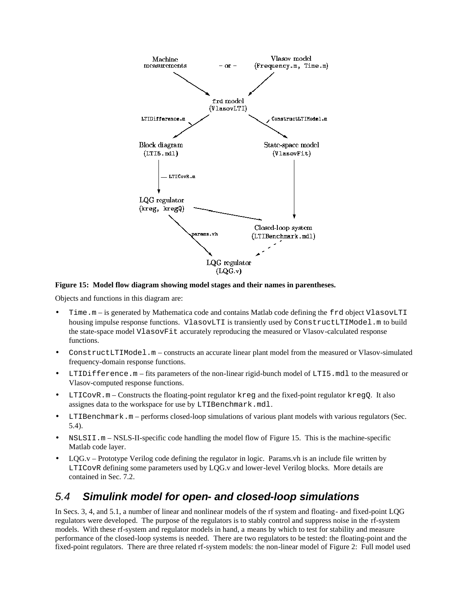

**Figure 15: Model flow diagram showing model stages and their names in parentheses.**

Objects and functions in this diagram are:

- Time.m is generated by Mathematica code and contains Matlab code defining the frd object VlasovLTI housing impulse response functions. VlasovLTI is transiently used by ConstructLTIModel.m to build the state-space model VlasovFit accurately reproducing the measured or Vlasov-calculated response functions.
- ConstructLTIModel.m constructs an accurate linear plant model from the measured or Vlasov-simulated frequency-domain response functions.
- LTIDifference.m fits parameters of the non-linear rigid-bunch model of LTI5.mdl to the measured or Vlasov-computed response functions.
- LTICovR.m Constructs the floating-point regulator kreg and the fixed-point regulator kregQ. It also assignes data to the workspace for use by LTIBenchmark.mdl.
- LTIBenchmark.m performs closed-loop simulations of various plant models with various regulators (Sec. 5.4).
- NSLSII.m NSLS-II-specific code handling the model flow of Figure 15. This is the machine-specific Matlab code layer.
- $LQG.v -$  Prototype Verilog code defining the regulator in logic. Params. $vh$  is an include file written by LTICovR defining some parameters used by LQG.v and lower-level Verilog blocks. More details are contained in Sec. 7.2.

## 5.4 **Simulink model for open- and closed-loop simulations**

In Secs. 3, 4, and 5.1, a number of linear and nonlinear models of the rf system and floating- and fixed-point LQG regulators were developed. The purpose of the regulators is to stably control and suppress noise in the rf-system models. With these rf-system and regulator models in hand, a means by which to test for stability and measure performance of the closed-loop systems is needed. There are two regulators to be tested: the floating-point and the fixed-point regulators. There are three related rf-system models: the non-linear model of Figure 2: Full model used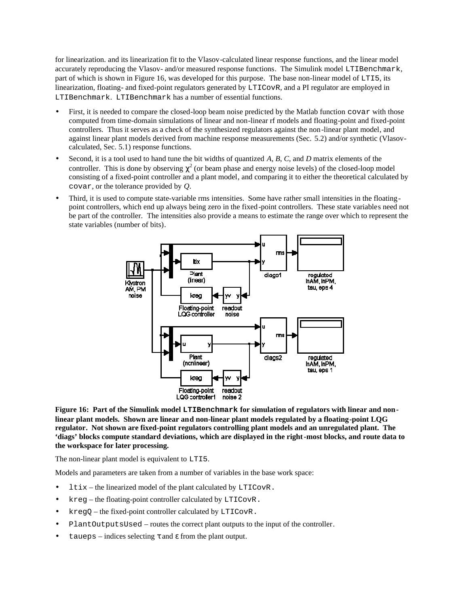for linearization. and its linearization fit to the Vlasov-calculated linear response functions, and the linear model accurately reproducing the Vlasov- and/or measured response functions. The Simulink model LTIBenchmark, part of which is shown in Figure 16, was developed for this purpose. The base non-linear model of LTI5, its linearization, floating- and fixed-point regulators generated by LTICovR, and a PI regulator are employed in LTIBenchmark. LTIBenchmark has a number of essential functions.

- First, it is needed to compare the closed-loop beam noise predicted by the Matlab function covar with those computed from time-domain simulations of linear and non-linear rf models and floating-point and fixed-point controllers. Thus it serves as a check of the synthesized regulators against the non-linear plant model, and against linear plant models derived from machine response measurements (Sec. 5.2) and/or synthetic (Vlasovcalculated, Sec. 5.1) response functions.
- Second, it is a tool used to hand tune the bit widths of quantized *A*, *B*, *C*, and *D* matrix elements of the controller. This is done by observing  $\chi^2$  (or beam phase and energy noise levels) of the closed-loop model consisting of a fixed-point controller and a plant model, and comparing it to either the theoretical calculated by covar, or the tolerance provided by *Q*.
- Third, it is used to compute state-variable rms intensities. Some have rather small intensities in the floatingpoint controllers, which end up always being zero in the fixed-point controllers. These state variables need not be part of the controller. The intensities also provide a means to estimate the range over which to represent the state variables (number of bits).



**Figure 16: Part of the Simulink model LTIBenchmark for simulation of regulators with linear and nonlinear plant models. Shown are linear and non-linear plant models regulated by a floating-point LQG regulator. Not shown are fixed-point regulators controlling plant models and an unregulated plant. The 'diags' blocks compute standard deviations, which are displayed in the right-most blocks, and route data to the workspace for later processing.**

The non-linear plant model is equivalent to LTI5.

Models and parameters are taken from a number of variables in the base work space:

- $ltix$  the linearized model of the plant calculated by LTICOVR.
- kreg the floating-point controller calculated by LTICovR.
- $kregQ$  the fixed-point controller calculated by LTICovR.
- PlantOutputsUsed routes the correct plant outputs to the input of the controller.
- $taueps$  indices selecting τ and ε from the plant output.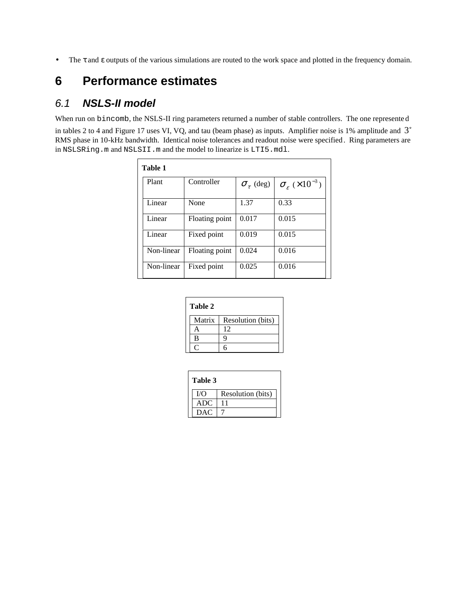• The τ and ε outputs of the various simulations are routed to the work space and plotted in the frequency domain.

# **6 Performance estimates**

### 6.1 **NSLS-II model**

When run on bincomb, the NSLS-II ring parameters returned a number of stable controllers. The one represente d in tables 2 to 4 and Figure 17 uses VI, VQ, and tau (beam phase) as inputs. Amplifier noise is 1% amplitude and 3° RMS phase in 10-kHz bandwidth. Identical noise tolerances and readout noise were specified. Ring parameters are in NSLSRing.m and NSLSII.m and the model to linearize is LTI5.mdl.

| Table 1    |                |                       |                                          |  |
|------------|----------------|-----------------------|------------------------------------------|--|
| Plant      | Controller     | $\sigma_{\tau}$ (deg) | $\sigma_{\epsilon}$ (×10 <sup>-3</sup> ) |  |
| Linear     | None           | 1.37                  | 0.33                                     |  |
| Linear     | Floating point | 0.017                 | 0.015                                    |  |
| Linear     | Fixed point    | 0.019                 | 0.015                                    |  |
| Non-linear | Floating point | 0.024                 | 0.016                                    |  |
| Non-linear | Fixed point    | 0.025                 | 0.016                                    |  |

| l'able |  |
|--------|--|

| Matrix | Resolution (bits) |
|--------|-------------------|
|        |                   |
| B      |                   |
|        |                   |

| Table 3    |                   |  |
|------------|-------------------|--|
| I/O        | Resolution (bits) |  |
| <b>ADC</b> |                   |  |
| <b>DAC</b> |                   |  |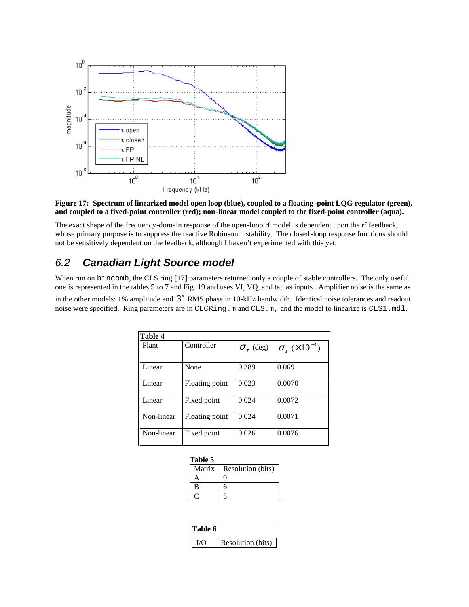

#### **Figure 17: Spectrum of linearized model open loop (blue), coupled to a floating -point LQG regulator (green), and coupled to a fixed-point controller (red); non-linear model coupled to the fixed-point controller (aqua).**

The exact shape of the frequency-domain response of the open-loop rf model is dependent upon the rf feedback, whose primary purpose is to suppress the reactive Robinson instability. The closed -loop response functions should not be sensitively dependent on the feedback, although I haven't experimented with this yet.

## 6.2 **Canadian Light Source model**

When run on bincomb, the CLS ring [17] parameters returned only a couple of stable controllers. The only useful one is represented in the tables 5 to 7 and Fig. 19 and uses VI, VQ, and tau as inputs. Amplifier noise is the same as in the other models: 1% amplitude and  $3^\circ$  RMS phase in 10-kHz bandwidth. Identical noise tolerances and readout noise were specified. Ring parameters are in CLCRing.m and CLS.m, and the model to linearize is CLS1.mdl.

| Table 4             |                |                       |                                       |
|---------------------|----------------|-----------------------|---------------------------------------|
| Controller<br>Plant |                | $\sigma_{\tau}$ (deg) | $\sigma_{\rm g}$ (×10 <sup>-3</sup> ) |
| Linear<br>None      |                | 0.389                 | 0.069                                 |
| Linear              | Floating point | 0.023                 | 0.0070                                |
| Linear              | Fixed point    | 0.024                 | 0.0072                                |
| Non-linear          | Floating point | 0.024                 | 0.0071                                |
| Non-linear          | Fixed point    | 0.026                 | 0.0076                                |

| Table 5 |                   |  |  |
|---------|-------------------|--|--|
| Matrix  | Resolution (bits) |  |  |
|         |                   |  |  |
| R       |                   |  |  |
|         |                   |  |  |

| Table 6 |                   |
|---------|-------------------|
|         | Resolution (bits) |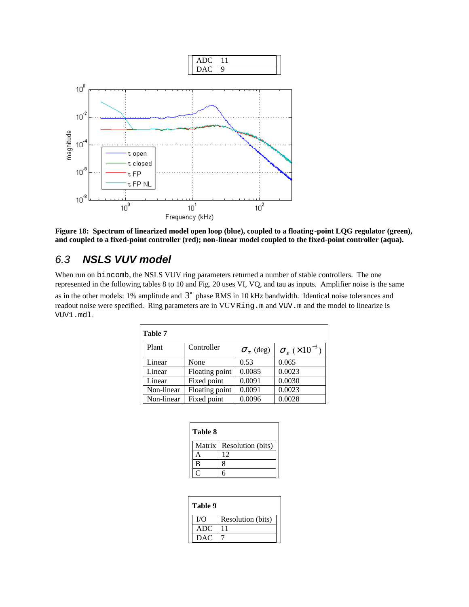

**Figure 18: Spectrum of linearized model open loop (blue), coupled to a floating -point LQG regulator (green), and coupled to a fixed-point controller (red); non-linear model coupled to the fixed-point controller (aqua).**

## 6.3 **NSLS VUV model**

When run on bincomb, the NSLS VUV ring parameters returned a number of stable controllers. The one represented in the following tables 8 to 10 and Fig. 20 uses VI, VQ, and tau as inputs. Amplifier noise is the same as in the other models: 1% amplitude and 3° phase RMS in 10 kHz bandwidth. Identical noise tolerances and readout noise were specified. Ring parameters are in VUVRing.m and VUV.m and the model to linearize is VUV1.mdl.

| Table 7    |                |                             |                                          |  |
|------------|----------------|-----------------------------|------------------------------------------|--|
| Plant      | Controller     | $\sigma$ <sub>r</sub> (deg) | $\sigma_{\epsilon}$ (×10 <sup>-3</sup> ) |  |
| Linear     | None           | 0.53                        | 0.065                                    |  |
| Linear     | Floating point | 0.0085                      | 0.0023                                   |  |
| Linear     | Fixed point    | 0.0091                      | 0.0030                                   |  |
| Non-linear | Floating point | 0.0091                      | 0.0023                                   |  |
| Non-linear | Fixed point    | 0.0096                      | 0.0028                                   |  |

| Table 8 |                            |  |  |  |
|---------|----------------------------|--|--|--|
|         | Matrix   Resolution (bits) |  |  |  |
|         | 12                         |  |  |  |
| B       |                            |  |  |  |
|         |                            |  |  |  |

| Table 9    |                   |  |  |  |
|------------|-------------------|--|--|--|
| T/O        | Resolution (bits) |  |  |  |
| <b>ADC</b> |                   |  |  |  |
| <b>DAC</b> |                   |  |  |  |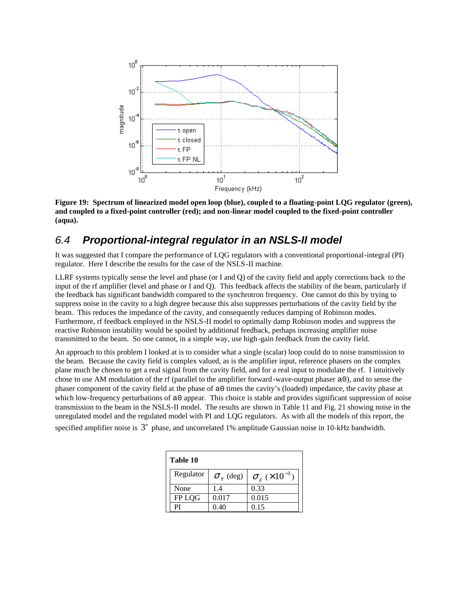

**Figure 19: Spectrum of linearized model open loop (blue), coupled to a floating-point LQG regulator (green), and coupled to a fixed-point controller (red); and non-linear model coupled to the fixed-point controller (aqua).**

### 6.4 **Proportional-integral regulator in an NSLS-II model**

It was suggested that I compare the performance of LQG regulators with a conventional proportional-integral (PI) regulator. Here I describe the results for the case of the NSLS-II machine.

LLRF systems typically sense the level and phase (or I and Q) of the cavity field and apply corrections back to the input of the rf amplifier (level and phase or I and Q). This feedback affects the stability of the beam, particularly if the feedback has significant bandwidth compared to the synchrotron frequency. One cannot do this by trying to suppress noise in the cavity to a high degree because this also suppresses perturbations of the cavity field by the beam. This reduces the impedance of the cavity, and consequently reduces damping of Robinson modes. Furthermore, rf feedback employed in the NSLS-II model to optimally damp Robinson modes and suppress the reactive Robinson instability would be spoiled by additional feedback, perhaps increasing amplifier noise transmitted to the beam. So one cannot, in a simple way, use high-gain feedback from the cavity field.

An approach to this problem I looked at is to consider what a single (scalar) loop could do to noise transmission to the beam. Because the cavity field is complex valued, as is the amplifier input, reference phasers on the complex plane much be chosen to get a real signal from the cavity field, and for a real input to modulate the rf. I intuitively chose to use AM modulation of the rf (parallel to the amplifier forward-wave-output phaser a0), and to sense the phaser component of the cavity field at the phase of a0 times the cavity's (loaded) impedance, the cavity phase at which low-frequency perturbations of a0 appear. This choice is stable and provides significant suppression of noise transmission to the beam in the NSLS-II model. The results are shown in Table 11 and Fig. 21 showing noise in the unregulated model and the regulated model with PI and LQG regulators. As with all the models of this report, the

specified amplifier noise is  $3^\circ$  phase, and uncorrelated 1% amplitude Gaussian noise in 10-kHz bandwidth.

| Table 10  |                             |                                       |  |  |  |  |
|-----------|-----------------------------|---------------------------------------|--|--|--|--|
| Regulator | $\sigma$ <sub>r</sub> (deg) | $\sigma_{\rm g}$ (×10 <sup>-3</sup> ) |  |  |  |  |
| None      | 1.4                         | 0.33                                  |  |  |  |  |
| FP LQG    | 0.017                       | 0.015                                 |  |  |  |  |
| РI        | 0.40                        | 0.15                                  |  |  |  |  |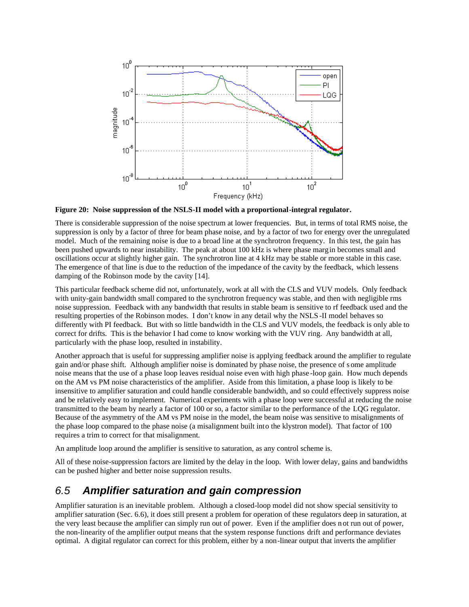

**Figure 20: Noise suppression of the NSLS-II model with a proportional-integral regulator.**

There is considerable suppression of the noise spectrum at lower frequencies. But, in terms of total RMS noise, the suppression is only by a factor of three for beam phase noise, and by a factor of two for energy over the unregulated model. Much of the remaining noise is due to a broad line at the synchrotron frequency. In this test, the gain has been pushed upwards to near instability. The peak at about 100 kHz is where phase margin becomes small and oscillations occur at slightly higher gain. The synchrotron line at 4 kHz may be stable or more stable in this case. The emergence of that line is due to the reduction of the impedance of the cavity by the feedback, which lessens damping of the Robinson mode by the cavity [14].

This particular feedback scheme did not, unfortunately, work at all with the CLS and VUV models. Only feedback with unity-gain bandwidth small compared to the synchrotron frequency was stable, and then with negligible rms noise suppression. Feedback with any bandwidth that results in stable beam is sensitive to rf feedback used and the resulting properties of the Robinson modes. I don't know in any detail why the NSLS -II model behaves so differently with PI feedback. But with so little bandwidth in the CLS and VUV models, the feedback is only able to correct for drifts. This is the behavior I had come to know working with the VUV ring. Any bandwidth at all, particularly with the phase loop, resulted in instability.

Another approach that is useful for suppressing amplifier noise is applying feedback around the amplifier to regulate gain and/or phase shift. Although amplifier noise is dominated by phase noise, the presence of s ome amplitude noise means that the use of a phase loop leaves residual noise even with high phase -loop gain. How much depends on the AM vs PM noise characteristics of the amplifier. Aside from this limitation, a phase loop is likely to be insensitive to amplifier saturation and could handle considerable bandwidth, and so could effectively suppress noise and be relatively easy to implement. Numerical experiments with a phase loop were successful at reducing the noise transmitted to the beam by nearly a factor of 100 or so, a factor similar to the performance of the LQG regulator. Because of the asymmetry of the AM vs PM noise in the model, the beam noise was sensitive to misalignments of the phase loop compared to the phase noise (a misalignment built into the klystron model). That factor of 100 requires a trim to correct for that misalignment.

An amplitude loop around the amplifier is sensitive to saturation, as any control scheme is.

All of these noise-suppression factors are limited by the delay in the loop. With lower delay, gains and bandwidths can be pushed higher and better noise suppression results.

### 6.5 **Amplifier saturation and gain compression**

Amplifier saturation is an inevitable problem. Although a closed-loop model did not show special sensitivity to amplifier saturation (Sec. 6.6), it does still present a problem for operation of these regulators deep in saturation, at the very least because the amplifier can simply run out of power. Even if the amplifier does n ot run out of power, the non-linearity of the amplifier output means that the system response functions drift and performance deviates optimal. A digital regulator can correct for this problem, either by a non-linear output that inverts the amplifier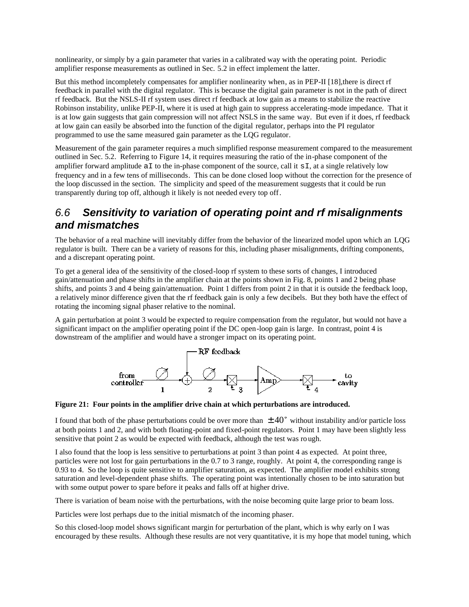nonlinearity, or simply by a gain parameter that varies in a calibrated way with the operating point. Periodic amplifier response measurements as outlined in Sec. 5.2 in effect implement the latter.

But this method incompletely compensates for amplifier nonlinearity when, as in PEP-II [18], there is direct rf feedback in parallel with the digital regulator. This is because the digital gain parameter is not in the path of direct rf feedback. But the NSLS-II rf system uses direct rf feedback at low gain as a means to stabilize the reactive Robinson instability, unlike PEP-II, where it is used at high gain to suppress accelerating-mode impedance. That it is at low gain suggests that gain compression will not affect NSLS in the same way. But even if it does, rf feedback at low gain can easily be absorbed into the function of the digital regulator, perhaps into the PI regulator programmed to use the same measured gain parameter as the LQG regulator.

Measurement of the gain parameter requires a much simplified response measurement compared to the measurement outlined in Sec. 5.2. Referring to Figure 14, it requires measuring the ratio of the in-phase component of the amplifier forward amplitude  $aI$  to the in-phase component of the source, call it  $sI$ , at a single relatively low frequency and in a few tens of milliseconds. This can be done closed loop without the correction for the presence of the loop discussed in the section. The simplicity and speed of the measurement suggests that it could be run transparently during top off, although it likely is not needed every top off.

## 6.6 **Sensitivity to variation of operating point and rf misalignments and mismatches**

The behavior of a real machine will inevitably differ from the behavior of the linearized model upon which an LQG regulator is built. There can be a variety of reasons for this, including phaser misalignments, drifting components, and a discrepant operating point.

To get a general idea of the sensitivity of the closed-loop rf system to these sorts of changes, I introduced gain/attenuation and phase shifts in the amplifier chain at the points shown in Fig. 8, points 1 and 2 being phase shifts, and points 3 and 4 being gain/attenuation. Point 1 differs from point 2 in that it is outside the feedback loop, a relatively minor difference given that the rf feedback gain is only a few decibels. But they both have the effect of rotating the incoming signal phaser relative to the nominal.

A gain perturbation at point 3 would be expected to require compensation from the regulator, but would not have a significant impact on the amplifier operating point if the DC open-loop gain is large. In contrast, point 4 is downstream of the amplifier and would have a stronger impact on its operating point.



**Figure 21: Four points in the amplifier drive chain at which perturbations are introduced.**

I found that both of the phase perturbations could be over more than  $\pm 40^\circ$  without instability and/or particle loss at both points 1 and 2, and with both floating-point and fixed-point regulators. Point 1 may have been slightly less sensitive that point 2 as would be expected with feedback, although the test was ro ugh.

I also found that the loop is less sensitive to perturbations at point 3 than point 4 as expected. At point three, particles were not lost for gain perturbations in the 0.7 to 3 range, roughly. At point 4, the corresponding range is 0.93 to 4. So the loop is quite sensitive to amplifier saturation, as expected. The amplifier model exhibits strong saturation and level-dependent phase shifts. The operating point was intentionally chosen to be into saturation but with some output power to spare before it peaks and falls off at higher drive.

There is variation of beam noise with the perturbations, with the noise becoming quite large prior to beam loss.

Particles were lost perhaps due to the initial mismatch of the incoming phaser.

So this closed-loop model shows significant margin for perturbation of the plant, which is why early on I was encouraged by these results. Although these results are not very quantitative, it is my hope that model tuning, which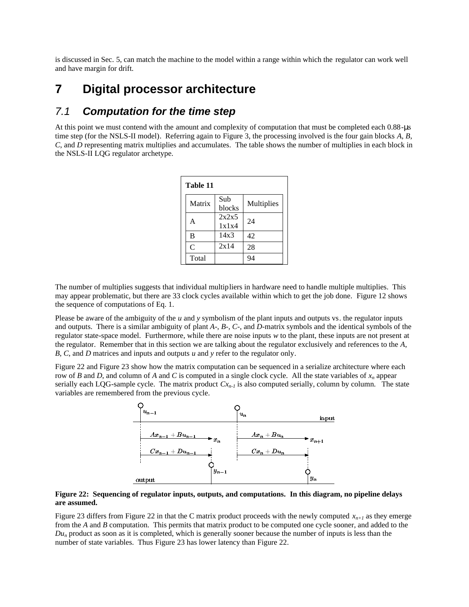is discussed in Sec. 5, can match the machine to the model within a range within which the regulator can work well and have margin for drift.

# **7 Digital processor architecture**

### 7.1 **Computation for the time step**

At this point we must contend with the amount and complexity of computation that must be completed each 0.88-µs time step (for the NSLS-II model). Referring again to Figure 3, the processing involved is the four gain blocks *A*, *B*, *C*, and *D* representing matrix multiplies and accumulates. The table shows the number of multiplies in each block in the NSLS-II LQG regulator archetype.

| Table 11       |                |            |  |  |  |
|----------------|----------------|------------|--|--|--|
| Matrix         | Sub<br>blocks  | Multiplies |  |  |  |
| Α              | 2x2x5<br>1x1x4 | 24         |  |  |  |
| B              | 14x3           | 42         |  |  |  |
| $\overline{C}$ | 2x14           | 28         |  |  |  |
| Total          |                |            |  |  |  |

The number of multiplies suggests that individual multipliers in hardware need to handle multiple multiplies. This may appear problematic, but there are 33 clock cycles available within which to get the job done. Figure 12 shows the sequence of computations of Eq. 1.

Please be aware of the ambiguity of the *u* and *y* symbolism of the plant inputs and outputs vs. the regulator inputs and outputs. There is a similar ambiguity of plant *A*-, *B*-, *C*-, and *D*-matrix symbols and the identical symbols of the regulator state-space model. Furthermore, while there are noise inputs *w* to the plant, these inputs are not present at the regulator. Remember that in this section we are talking about the regulator exclusively and references to the *A*, *B*, *C*, and *D* matrices and inputs and outputs *u* and *y* refer to the regulator only.

Figure 22 and Figure 23 show how the matrix computation can be sequenced in a serialize architecture where each row of *B* and *D*, and column of *A* and *C* is computed in a single clock cycle. All the state variables of *xn* appear serially each LQG-sample cycle. The matrix product  $Cx_{n-1}$  is also computed serially, column by column. The state variables are remembered from the previous cycle.



#### **Figure 22: Sequencing of regulator inputs, outputs, and computations. In this diagram, no pipeline delays are assumed.**

Figure 23 differs from Figure 22 in that the C matrix product proceeds with the newly computed  $x_{n+1}$  as they emerge from the *A* and *B* computation. This permits that matrix product to be computed one cycle sooner, and added to the *Du<sup>n</sup>* product as soon as it is completed, which is generally sooner because the number of inputs is less than the number of state variables. Thus Figure 23 has lower latency than Figure 22.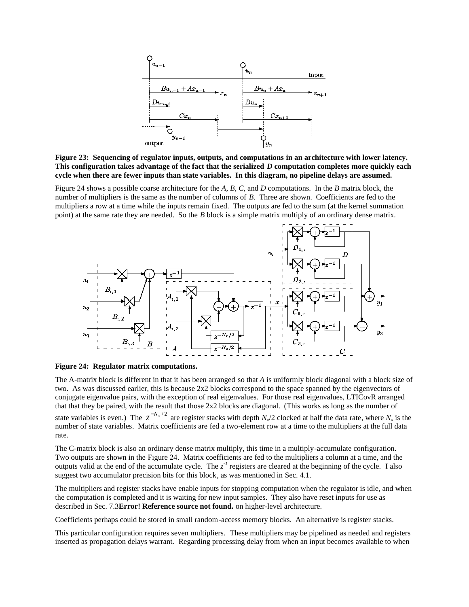

**Figure 23: Sequencing of regulator inputs, outputs, and computations in an architecture with lower latency. This configuration takes advantage of the fact that the serialized** *D* **computation completes more quickly each cycle when there are fewer inputs than state variables. In this diagram, no pipeline delays are assumed.**

Figure 24 shows a possible coarse architecture for the *A*, *B*, *C*, and *D* computations. In the *B* matrix block, the number of multipliers is the same as the number of columns of *B*. Three are shown. Coefficients are fed to the multipliers a row at a time while the inputs remain fixed. The outputs are fed to the sum (at the kernel summation point) at the same rate they are needed. So the *B* block is a simple matrix multiply of an ordinary dense matrix.



**Figure 24: Regulator matrix computations.**

The A-matrix block is different in that it has been arranged so that *A* is uniformly block diagonal with a block size of two. As was discussed earlier, this is because 2x2 blocks correspond to the space spanned by the eigenvectors of conjugate eigenvalue pairs, with the exception of real eigenvalues. For those real eigenvalues, LTICovR arranged that that they be paired, with the result that those 2x2 blocks are diagonal. (This works as long as the number of state variables is even.) The  $z^{-N_x/2}$  are register stacks with depth  $N_x/2$  clocked at half the data rate, where  $N_x$  is the number of state variables. Matrix coefficients are fed a two-element row at a time to the multipliers at the full data rate.

The C-matrix block is also an ordinary dense matrix multiply, this time in a multiply-accumulate configuration. Two outputs are shown in the Figure 24. Matrix coefficients are fed to the multipliers a column at a time, and the outputs valid at the end of the accumulate cycle. The  $z<sup>-1</sup>$  registers are cleared at the beginning of the cycle. I also suggest two accumulator precision bits for this block, as was mentioned in Sec. 4.1.

The multipliers and register stacks have enable inputs for stopping computation when the regulator is idle, and when the computation is completed and it is waiting for new input samples. They also have reset inputs for use as described in Sec. 7.3**Error! Reference source not found.** on higher-level architecture.

Coefficients perhaps could be stored in small random-access memory blocks. An alternative is register stacks.

This particular configuration requires seven multipliers. These multipliers may be pipelined as needed and registers inserted as propagation delays warrant. Regarding processing delay from when an input becomes available to when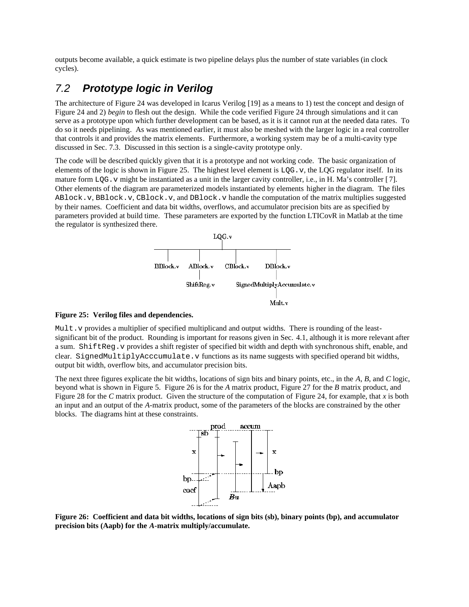outputs become available, a quick estimate is two pipeline delays plus the number of state variables (in clock cycles).

### 7.2 **Prototype logic in Verilog**

The architecture of Figure 24 was developed in Icarus Verilog [19] as a means to 1) test the concept and design of Figure 24 and 2) *begin* to flesh out the design. While the code verified Figure 24 through simulations and it can serve as a prototype upon which further development can be based, as it is it cannot run at the needed data rates. To do so it needs pipelining. As was mentioned earlier, it must also be meshed with the larger logic in a real controller that controls it and provides the matrix elements. Furthermore, a working system may be of a multi-cavity type discussed in Sec. 7.3. Discussed in this section is a single-cavity prototype only.

The code will be described quickly given that it is a prototype and not working code. The basic organization of elements of the logic is shown in Figure 25. The highest level element is  $LQG \cdot v$ , the LQG regulator itself. In its mature form  $LOG. v$  might be instantiated as a unit in the larger cavity controller, i.e., in H. Ma's controller [7]. Other elements of the diagram are parameterized models instantiated by elements higher in the diagram. The files ABlock.v, BBlock.v, CBlock.v, and DBlock.v handle the computation of the matrix multiplies suggested by their names. Coefficient and data bit widths, overflows, and accumulator precision bits are as specified by parameters provided at build time. These parameters are exported by the function LTICovR in Matlab at the time the regulator is synthesized there.



#### **Figure 25: Verilog files and dependencies.**

Mult. v provides a multiplier of specified multiplicand and output widths. There is rounding of the leastsignificant bit of the product. Rounding is important for reasons given in Sec. 4.1, although it is more relevant after a sum. ShiftReg. v provides a shift register of specified bit width and depth with synchronous shift, enable, and clear. SignedMultiplyAcccumulate.v functions as its name suggests with specified operand bit widths, output bit width, overflow bits, and accumulator precision bits.

The next three figures explicate the bit widths, locations of sign bits and binary points, etc., in the *A*, *B*, and *C* logic, beyond what is shown in Figure 5. Figure 26 is for the *A* matrix product, Figure 27 for the *B* matrix product, and Figure 28 for the *C* matrix product. Given the structure of the computation of Figure 24, for example, that *x* is both an input and an output of the *A*-matrix product, some of the parameters of the blocks are constrained by the other blocks. The diagrams hint at these constraints.



**Figure 26: Coefficient and data bit widths, locations of sign bits (sb), binary points (bp), and accumulator precision bits (Aapb) for the** *A***-matrix multiply/accumulate.**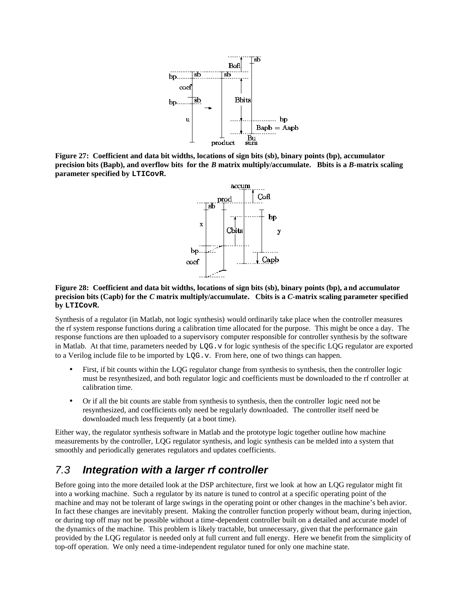

**Figure 27: Coefficient and data bit widths, locations of sign bits (sb), binary points (bp), accumulator precision bits (Bapb), and overflow bits for the** *B* **matrix multiply/accumulate. Bbits is a** *B***-matrix scaling parameter specified by LTICovR.**



#### **Figure 28: Coefficient and data bit widths, locations of sign bits (sb), binary points (bp), and accumulator precision bits (Capb) for the** *C* **matrix multiply/accumulate. Cbits is a** *C***-matrix scaling parameter specified by LTICovR.**

Synthesis of a regulator (in Matlab, not logic synthesis) would ordinarily take place when the controller measures the rf system response functions during a calibration time allocated for the purpose. This might be once a day. The response functions are then uploaded to a supervisory computer responsible for controller synthesis by the software in Matlab. At that time, parameters needed by  $LQG \cdot v$  for logic synthesis of the specific LQG regulator are exported to a Verilog include file to be imported by LQG.v. From here, one of two things can happen.

- First, if bit counts within the LQG regulator change from synthesis to synthesis, then the controller logic must be resynthesized, and both regulator logic and coefficients must be downloaded to the rf controller at calibration time.
- Or if all the bit counts are stable from synthesis to synthesis, then the controller logic need not be resynthesized, and coefficients only need be regularly downloaded. The controller itself need be downloaded much less frequently (at a boot time).

Either way, the regulator synthesis software in Matlab and the prototype logic together outline how machine measurements by the controller, LQG regulator synthesis, and logic synthesis can be melded into a system that smoothly and periodically generates regulators and updates coefficients.

## 7.3 **Integration with a larger rf controller**

Before going into the more detailed look at the DSP architecture, first we look at how an LQG regulator might fit into a working machine. Such a regulator by its nature is tuned to control at a specific operating point of the machine and may not be tolerant of large swings in the operating point or other changes in the machine's beh avior. In fact these changes are inevitably present. Making the controller function properly without beam, during injection, or during top off may not be possible without a time-dependent controller built on a detailed and accurate model of the dynamics of the machine. This problem is likely tractable, but unnecessary, given that the performance gain provided by the LQG regulator is needed only at full current and full energy. Here we benefit from the simplicity of top-off operation. We only need a time-independent regulator tuned for only one machine state.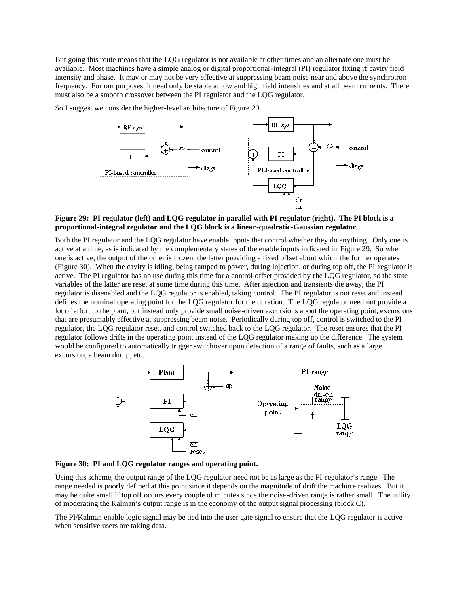But going this route means that the LQG regulator is not available at other times and an alternate one must be available. Most machines have a simple analog or digital proportional-integral (PI) regulator fixing rf cavity field intensity and phase. It may or may not be very effective at suppressing beam noise near and above the synchrotron frequency. For our purposes, it need only be stable at low and high field intensities and at all beam curre nts. There must also be a smooth crossover between the PI regulator and the LQG regulator.

So I suggest we consider the higher-level architecture of Figure 29.



#### **Figure 29: PI regulator (left) and LQG regulator in parallel with PI regulator (right). The PI block is a proportional-integral regulator and the LQG block is a linear-quadratic-Gaussian regulator.**

Both the PI regulator and the LQG regulator have enable inputs that control whether they do anything. Only one is active at a time, as is indicated by the complementary states of the enable inputs indicated in Figure 29. So when one is active, the output of the other is frozen, the latter providing a fixed offset about which the former operates (Figure 30). When the cavity is idling, being ramped to power, during injection, or during top off, the PI regulator is active. The PI regulator has no use during this time for a control offset provided by the LQG regulator, so the state variables of the latter are reset at some time during this time. After injection and transients die away, the PI regulator is disenabled and the LQG regulator is enabled, taking control. The PI regulator is not reset and instead defines the nominal operating point for the LQG regulator for the duration. The LQG regulator need not provide a lot of effort to the plant, but instead only provide small noise-driven excursions about the operating point, excursions that are presumably effective at suppressing beam noise. Periodically during top off, control is switched to the PI regulator, the LQG regulator reset, and control switched back to the LQG regulator. The reset ensures that the PI regulator follows drifts in the operating point instead of the LQG regulator making up the difference. The system would be configured to automatically trigger switchover upon detection of a range of faults, such as a large excursion, a beam dump, etc.



**Figure 30: PI and LQG regulator ranges and operating point.**

Using this scheme, the output range of the LQG regulator need not be as large as the PI-regulator's range. The range needed is poorly defined at this point since it depends on the magnitude of drift the machin e realizes. But it may be quite small if top off occurs every couple of minutes since the noise -driven range is rather small. The utility of moderating the Kalman's output range is in the economy of the output signal processing (block C).

The PI/Kalman enable logic signal may be tied into the user gate signal to ensure that the LQG regulator is active when sensitive users are taking data.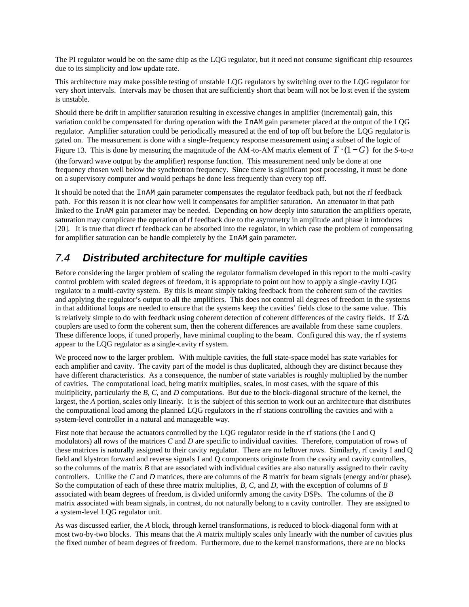The PI regulator would be on the same chip as the LQG regulator, but it need not consume significant chip resources due to its simplicity and low update rate.

This architecture may make possible testing of unstable LQG regulators by switching over to the LQG regulator for very short intervals. Intervals may be chosen that are sufficiently short that beam will not be lo st even if the system is unstable.

Should there be drift in amplifier saturation resulting in excessive changes in amplifier (incremental) gain, this variation could be compensated for during operation with the InAM gain parameter placed at the output of the LQG regulator. Amplifier saturation could be periodically measured at the end of top off but before the LQG regulator is gated on. The measurement is done with a single-frequency response measurement using a subset of the logic of Figure 13. This is done by measuring the magnitude of the AM-to-AM matrix element of  $T \cdot (1 - G)$  for the *S*-to-*a* (the forward wave output by the amplifier) response function. This measurement need only be done at one frequency chosen well below the synchrotron frequency. Since there is significant post processing, it must be done on a supervisory computer and would perhaps be done less frequently than every top off.

It should be noted that the InAM gain parameter compensates the regulator feedback path, but not the rf feedback path. For this reason it is not clear how well it compensates for amplifier saturation. An attenuator in that path linked to the InAM gain parameter may be needed. Depending on how deeply into saturation the amplifiers operate, saturation may complicate the operation of rf feedback due to the asymmetry in amplitude and phase it introduces [20]. It is true that direct rf feedback can be absorbed into the regulator, in which case the problem of compensating for amplifier saturation can be handle completely by the InAM gain parameter.

# 7.4 **Distributed architecture for multiple cavities**

Before considering the larger problem of scaling the regulator formalism developed in this report to the multi -cavity control problem with scaled degrees of freedom, it is appropriate to point out how to apply a single -cavity LQG regulator to a multi-cavity system. By this is meant simply taking feedback from the coherent sum of the cavities and applying the regulator's output to all the amplifiers. This does not control all degrees of freedom in the systems in that additional loops are needed to ensure that the systems keep the cavities' fields close to the same value. This is relatively simple to do with feedback using coherent detection of coherent differences of the cavity fields. If  $\Sigma/\Delta$ couplers are used to form the coherent sum, then the coherent differences are available from these same couplers. These difference loops, if tuned properly, have minimal coupling to the beam. Configured this way, the rf systems appear to the LQG regulator as a single-cavity rf system.

We proceed now to the larger problem. With multiple cavities, the full state-space model has state variables for each amplifier and cavity. The cavity part of the model is thus duplicated, although they are distinct because they have different characteristics. As a consequence, the number of state variables is roughly multiplied by the number of cavities. The computational load, being matrix multiplies, scales, in most cases, with the square of this multiplicity, particularly the *B*, *C*, and *D* computations. But due to the block-diagonal structure of the kernel, the largest, the *A* portion, scales only linearly. It is the subject of this section to work out an architec ture that distributes the computational load among the planned LQG regulators in the rf stations controlling the cavities and with a system-level controller in a natural and manageable way.

First note that because the actuators controlled by the LQG regulator reside in the rf stations (the I and Q modulators) all rows of the matrices *C* and *D* are specific to individual cavities. Therefore, computation of rows of these matrices is naturally assigned to their cavity regulator. There are no leftover rows. Similarly, rf cavity I and Q field and klystron forward and reverse signals I and Q components originate from the cavity and cavity controllers, so the columns of the matrix *B* that are associated with individual cavities are also naturally assigned to their cavity controllers. Unlike the *C* and *D* matrices, there are columns of the *B* matrix for beam signals (energy and/or phase). So the computation of each of these three matrix multiplies, *B*, *C*, and *D*, with the exception of columns of *B* associated with beam degrees of freedom, is divided uniformly among the cavity DSPs. The columns of the *B* matrix associated with beam signals, in contrast, do not naturally belong to a cavity controller. They are assigned to a system-level LQG regulator unit.

As was discussed earlier, the *A* block, through kernel transformations, is reduced to block-diagonal form with at most two-by-two blocks. This means that the *A* matrix multiply scales only linearly with the number of cavities plus the fixed number of beam degrees of freedom. Furthermore, due to the kernel transformations, there are no blocks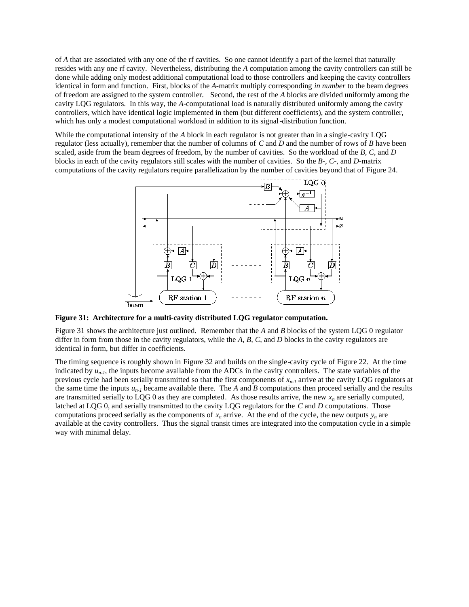of *A* that are associated with any one of the rf cavities. So one cannot identify a part of the kernel that naturally resides with any one rf cavity. Nevertheless, distributing the *A* computation among the cavity controllers can still be done while adding only modest additional computational load to those controllers and keeping the cavity controllers identical in form and function. First, blocks of the *A*-matrix multiply corresponding *in number* to the beam degrees of freedom are assigned to the system controller. Second, the rest of the *A* blocks are divided uniformly among the cavity LQG regulators. In this way, the *A*-computational load is naturally distributed uniformly among the cavity controllers, which have identical logic implemented in them (but different coefficients), and the system controller, which has only a modest computational workload in addition to its signal-distribution function.

While the computational intensity of the *A* block in each regulator is not greater than in a single-cavity LQG regulator (less actually), remember that the number of columns of *C* and *D* and the number of rows of *B* have been scaled, aside from the beam degrees of freedom, by the number of cavities. So the workload of the *B*, *C*, and *D* blocks in each of the cavity regulators still scales with the number of cavities. So the *B*-, *C*-, and *D*-matrix computations of the cavity regulators require parallelization by the number of cavities beyond that of Figure 24.



**Figure 31: Architecture for a multi-cavity distributed LQG regulator computation.**

Figure 31 shows the architecture just outlined. Remember that the *A* and *B* blocks of the system LQG 0 regulator differ in form from those in the cavity regulators, while the *A*, *B*, *C*, and *D* blocks in the cavity regulators are identical in form, but differ in coefficients.

The timing sequence is roughly shown in Figure 32 and builds on the single-cavity cycle of Figure 22. At the time indicated by  $u_{n-1}$ , the inputs become available from the ADCs in the cavity controllers. The state variables of the previous cycle had been serially transmitted so that the first components of *xn-1* arrive at the cavity LQG regulators at the same time the inputs  $u_{n-1}$  became available there. The *A* and *B* computations then proceed serially and the results are transmitted serially to LQG 0 as they are completed. As those results arrive, the new  $x<sub>n</sub>$  are serially computed, latched at LQG 0, and serially transmitted to the cavity LQG regulators for the *C* and *D* computations. Those computations proceed serially as the components of  $x_n$  arrive. At the end of the cycle, the new outputs  $y_n$  are available at the cavity controllers. Thus the signal transit times are integrated into the computation cycle in a simple way with minimal delay.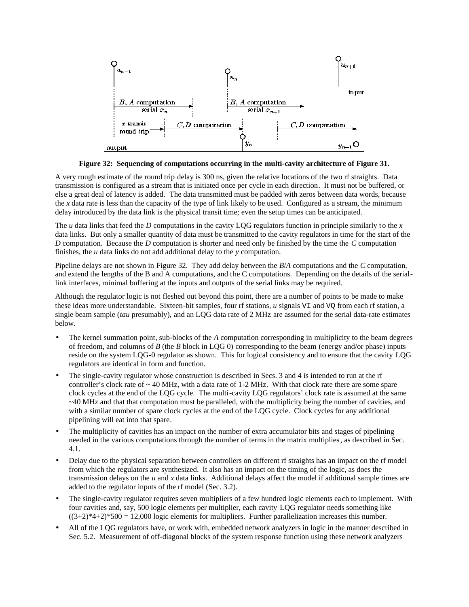

**Figure 32: Sequencing of computations occurring in the multi-cavity architecture of Figure 31.**

A very rough estimate of the round trip delay is 300 ns, given the relative locations of the two rf straights. Data transmission is configured as a stream that is initiated once per cycle in each direction. It must not be buffered, or else a great deal of latency is added. The data transmitted must be padded with zeros between data words, because the *x* data rate is less than the capacity of the type of link likely to be used. Configured as a stream, the minimum delay introduced by the data link is the physical transit time; even the setup times can be anticipated.

The *u* data links that feed the *D* computations in the cavity LQG regulators function in principle similarly to the *x* data links. But only a smaller quantity of data must be transmitted to the cavity regulators in time for the start of the *D* computation. Because the *D* computation is shorter and need only be finished by the time the *C* computation finishes, the *u* data links do not add additional delay to the *y* computation.

Pipeline delays are not shown in Figure 32. They add delay between the *B*/*A* computations and the *C* computation, and extend the lengths of the B and A computations, and the C computations. Depending on the details of the seriallink interfaces, minimal buffering at the inputs and outputs of the serial links may be required.

Although the regulator logic is not fleshed out beyond this point, there are a number of points to be made to make these ideas more understandable. Sixteen-bit samples, four rf stations, *u* signals VI and VQ from each rf station, a single beam sample (*tau* presumably), and an LQG data rate of 2 MHz are assumed for the serial data-rate estimates below.

- The kernel summation point, sub-blocks of the *A* computation corresponding in multiplicity to the beam degrees of freedom, and columns of *B* (the *B* block in LQG 0) corresponding to the beam (energy and/or phase) inputs reside on the system LQG-0 regulator as shown. This for logical consistency and to ensure that the cavity LQG regulators are identical in form and function.
- The single-cavity regulator whose construction is described in Secs. 3 and 4 is intended to run at the rf controller's clock rate of  $\sim$  40 MHz, with a data rate of 1-2 MHz. With that clock rate there are some spare clock cycles at the end of the LQG cycle. The multi-cavity LQG regulators' clock rate is assumed at the same ~40 MHz and that that computation must be paralleled, with the multiplicity being the number of cavities, and with a similar number of spare clock cycles at the end of the LQG cycle. Clock cycles for any additional pipelining will eat into that spare.
- The multiplicity of cavities has an impact on the number of extra accumulator bits and stages of pipelining needed in the various computations through the number of terms in the matrix multiplies, as described in Sec. 4.1.
- Delay due to the physical separation between controllers on different rf straights has an impact on the rf model from which the regulators are synthesized. It also has an impact on the timing of the logic, as does the transmission delays on the *u* and *x* data links. Additional delays affect the model if additional sample times are added to the regulator inputs of the rf model (Sec. 3.2).
- The single-cavity regulator requires seven multipliers of a few hundred logic elements each to implement. With four cavities and, say, 500 logic elements per multiplier, each cavity LQG regulator needs something like  $((3+2)*4+2)*500 = 12,000$  logic elements for multipliers. Further parallelization increases this number.
- All of the LQG regulators have, or work with, embedded network analyzers in logic in the manner described in Sec. 5.2. Measurement of off-diagonal blocks of the system response function using these network analyzers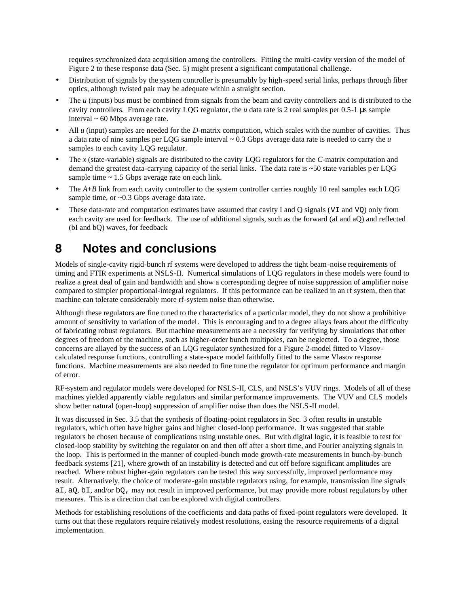requires synchronized data acquisition among the controllers. Fitting the multi-cavity version of the model of Figure 2 to these response data (Sec. 5) might present a significant computational challenge.

- Distribution of signals by the system controller is presumably by high-speed serial links, perhaps through fiber optics, although twisted pair may be adequate within a straight section.
- The *u* (inputs) bus must be combined from signals from the beam and cavity controllers and is distributed to the cavity controllers. From each cavity LQG regulator, the *u* data rate is 2 real samples per 0.5-1 µs sample interval ~ 60 Mbps average rate.
- All *u* (input) samples are needed for the *D*-matrix computation, which scales with the number of cavities. Thus a data rate of nine samples per LQG sample interval ~ 0.3 Gbps average data rate is needed to carry the *u* samples to each cavity LQG regulator.
- The *x* (state-variable) signals are distributed to the cavity LQG regulators for the *C*-matrix computation and demand the greatest data-carrying capacity of the serial links. The data rate is ~50 state variables per LQG sample time  $\sim$  1.5 Gbps average rate on each link.
- The *A*+*B* link from each cavity controller to the system controller carries roughly 10 real samples each LQG sample time, or ~0.3 Gbps average data rate.
- These data-rate and computation estimates have assumed that cavity I and Q signals (VI and VQ) only from each cavity are used for feedback. The use of additional signals, such as the forward (aI and aQ) and reflected (bI and bQ) waves, for feedback

# **8 Notes and conclusions**

Models of single-cavity rigid-bunch rf systems were developed to address the tight beam-noise requirements of timing and FTIR experiments at NSLS-II. Numerical simulations of LQG regulators in these models were found to realize a great deal of gain and bandwidth and show a corresponding degree of noise suppression of amplifier noise compared to simpler proportional-integral regulators. If this performance can be realized in an rf system, then that machine can tolerate considerably more rf-system noise than otherwise.

Although these regulators are fine tuned to the characteristics of a particular model, they do not show a prohibitive amount of sensitivity to variation of the model. This is encouraging and to a degree allays fears about the difficulty of fabricating robust regulators. But machine measurements are a necessity for verifying by simulations that other degrees of freedom of the machine, such as higher-order bunch multipoles, can be neglected. To a degree, those concerns are allayed by the success of an LQG regulator synthesized for a Figure 2-model fitted to Vlasovcalculated response functions, controlling a state-space model faithfully fitted to the same Vlasov response functions. Machine measurements are also needed to fine tune the regulator for optimum performance and margin of error.

RF-system and regulator models were developed for NSLS-II, CLS, and NSLS's VUV rings. Models of all of these machines yielded apparently viable regulators and similar performance improvements. The VUV and CLS models show better natural (open-loop) suppression of amplifier noise than does the NSLS-II model.

It was discussed in Sec. 3.5 that the synthesis of floating-point regulators in Sec. 3 often results in unstable regulators, which often have higher gains and higher closed-loop performance. It was suggested that stable regulators be chosen because of complications using unstable ones. But with digital logic, it is feasible to test for closed-loop stability by switching the regulator on and then off after a short time, and Fourier analyzing signals in the loop. This is performed in the manner of coupled-bunch mode growth-rate measurements in bunch-by-bunch feedback systems [21], where growth of an instability is detected and cut off before significant amplitudes are reached. Where robust higher-gain regulators can be tested this way successfully, improved performance may result. Alternatively, the choice of moderate-gain unstable regulators using, for example, transmission line signals aI, aQ, bI, and/or bQ, may not result in improved performance, but may provide more robust regulators by other measures. This is a direction that can be explored with digital controllers.

Methods for establishing resolutions of the coefficients and data paths of fixed-point regulators were developed. It turns out that these regulators require relatively modest resolutions, easing the resource requirements of a digital implementation.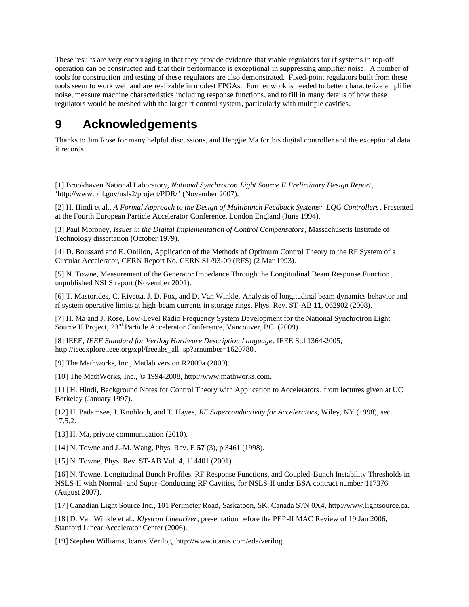These results are very encouraging in that they provide evidence that viable regulators for rf systems in top-off operation can be constructed and that their performance is exceptional in suppressing amplifier noise. A number of tools for construction and testing of these regulators are also demonstrated. Fixed-point regulators built from these tools seem to work well and are realizable in modest FPGAs. Further work is needed to better characterize amplifier noise, measure machine characteristics including response functions, and to fill in many details of how these regulators would be meshed with the larger rf control system, particularly with multiple cavities.

# **9 Acknowledgements**

-

Thanks to Jim Rose for many helpful discussions, and Hengjie Ma for his digital controller and the exceptional data it records.

[2] H. Hindi et al., *A Formal Approach to the Design of Multibunch Feedback Systems: LQG Controllers*, Presented at the Fourth European Particle Accelerator Conference, London England (June 1994).

[3] Paul Moroney, *Issues in the Digital Implementation of Control Compensators*, Massachusetts Institude of Technology dissertation (October 1979).

[4] D. Boussard and E. Onillon, Application of the Methods of Optimum Control Theory to the RF System of a Circular Accelerator, CERN Report No. CERN SL/93-09 (RFS) (2 Mar 1993).

[5] N. Towne, Measurement of the Generator Impedance Through the Longitudinal Beam Response Function , unpublished NSLS report (November 2001).

[6] T. Mastorides, C. Rivetta, J. D. Fox, and D. Van Winkle, Analysis of longitudinal beam dynamics behavior and rf system operative limits at high-beam currents in storage rings, Phys. Rev. ST-AB **11**, 062902 (2008).

[7] H. Ma and J. Rose, Low-Level Radio Frequency System Development for the National Synchrotron Light Source II Project,  $23^{\text{rd}}$  Particle Accelerator Conference, Vancouver, BC (2009).

[8] IEEE, *IEEE Standard for Verilog Hardware Description Language*, IEEE Std 1364-2005, http://ieeexplore.ieee.org/xpl/freeabs\_all.jsp?arnumber=1620780.

[9] The Mathworks, Inc., Matlab version R2009a (2009).

[10] The MathWorks, Inc., © 1994-2008, http://www.mathworks.com.

[11] H. Hindi, Background Notes for Control Theory with Application to Accelerators, from lectures given at UC Berkeley (January 1997).

[12] H. Padamsee, J. Knobloch, and T. Hayes, *RF Superconductivity for Accelerators*, Wiley, NY (1998), sec. 17.5.2.

[13] H. Ma, private communication (2010).

[14] N. Towne and J.-M. Wang, Phys. Rev. E **57** (3), p 3461 (1998).

[15] N. Towne, Phys. Rev. ST-AB Vol. **4**, 114401 (2001).

[16] N. Towne, Longitudinal Bunch Profiles, RF Response Functions, and Coupled-Bunch Instability Thresholds in NSLS-II with Normal- and Super-Conducting RF Cavities, for NSLS-II under BSA contract number 117376 (August 2007).

[17] Canadian Light Source Inc., 101 Perimeter Road, Saskatoon, SK, Canada S7N 0X4, http://www.lightsource.ca.

[18] D. Van Winkle et al., *Klystron Linearizer*, presentation before the PEP-II MAC Review of 19 Jan 2006, Stanford Linear Accelerator Center (2006).

[19] Stephen Williams, Icarus Verilog, http://www.icarus.com/eda/verilog.

<sup>[1]</sup> Brookhaven National Laboratory, *National Synchrotron Light Source II Preliminary Design Report*, 'http://www.bnl.gov/nsls2/project/PDR/' (November 2007).